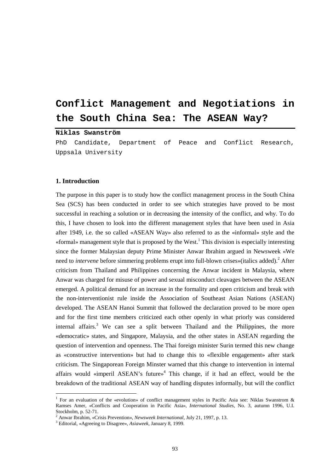# **Conflict Management and Negotiations in the South China Sea: The ASEAN Way?**

# **Niklas Swanström**

PhD Candidate, Department of Peace and Conflict Research, Uppsala University

#### **1. Introduction**

 $\overline{a}$ 

The purpose in this paper is to study how the conflict management process in the South China Sea (SCS) has been conducted in order to see which strategies have proved to be most successful in reaching a solution or in decreasing the intensity of the conflict, and why. To do this, I have chosen to look into the different management styles that have been used in Asia after 1949, i.e. the so called «ASEAN Way» also referred to as the «informal» style and the «formal» management style that is proposed by the West.<sup>1</sup> This division is especially interesting since the former Malaysian deputy Prime Minister Anwar Ibrahim argued in Newsweek «We need to *intervene* before simmering problems erupt into full-blown crises»(italics added).<sup>2</sup> After criticism from Thailand and Philippines concerning the Anwar incident in Malaysia, where Anwar was charged for misuse of power and sexual misconduct cleavages between the ASEAN emerged. A political demand for an increase in the formality and open criticism and break with the non-interventionist rule inside the Association of Southeast Asian Nations (ASEAN) developed. The ASEAN Hanoi Summit that followed the declaration proved to be more open and for the first time members criticized each other openly in what priorly was considered internal affairs.<sup>3</sup> We can see a split between Thailand and the Philippines, the more «democratic» states, and Singapore, Malaysia, and the other states in ASEAN regarding the question of intervention and openness. The Thai foreign minister Surin termed this new change as «constructive intervention» but had to change this to «flexible engagement» after stark criticism. The Singaporean Foreign Minster warned that this change to intervention in internal affairs would «imperil ASEAN's future»<sup>4</sup> This change, if it had an effect, would be the breakdown of the traditional ASEAN way of handling disputes informally, but will the conflict

<sup>&</sup>lt;sup>1</sup> For an evaluation of the «evolution» of conflict management styles in Pacific Asia see: Niklas Swanstrom & Ramses Amer, «Conflicts and Cooperation in Pacific Asia», *International Studies*, No. 3, autumn 1996, U.I. Stockholm, p. 52-71.

<sup>&</sup>lt;sup>2</sup> Anwar Ibrahim, «Crisis Prevention», *Newsweek International*, July 21, 1997, p. 13.<br><sup>3</sup> Editorial, «Agreeing to Disegree», Asigueak, January 8, 1900.

Editorial, «Agreeing to Disagree», *Asiaweek*, January 8, 1999.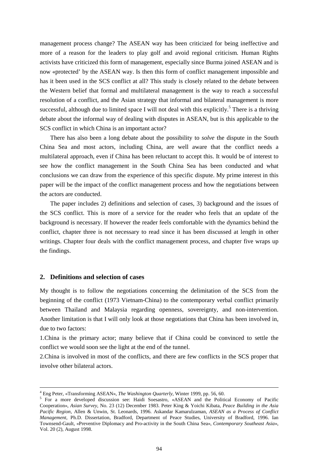management process change? The ASEAN way has been criticized for being ineffective and more of a reason for the leaders to play golf and avoid regional criticism. Human Rights activists have criticized this form of management, especially since Burma joined ASEAN and is now «protected' by the ASEAN way. Is then this form of conflict management impossible and has it been used in the SCS conflict at all? This study is closely related to the debate between the Western belief that formal and multilateral management is the way to reach a successful resolution of a conflict, and the Asian strategy that informal and bilateral management is more successful, although due to limited space I will not deal with this explicitly.<sup>5</sup> There is a thriving debate about the informal way of dealing with disputes in ASEAN, but is this applicable to the SCS conflict in which China is an important actor?

There has also been a long debate about the possibility to *solve* the dispute in the South China Sea and most actors, including China, are well aware that the conflict needs a multilateral approach, even if China has been reluctant to accept this. It would be of interest to see how the conflict management in the South China Sea has been conducted and what conclusions we can draw from the experience of this specific dispute. My prime interest in this paper will be the impact of the conflict management process and how the negotiations between the actors are conducted.

The paper includes 2) definitions and selection of cases, 3) background and the issues of the SCS conflict. This is more of a service for the reader who feels that an update of the background is necessary. If however the reader feels comfortable with the dynamics behind the conflict, chapter three is not necessary to read since it has been discussed at length in other writings. Chapter four deals with the conflict management process, and chapter five wraps up the findings.

## **2. Definitions and selection of cases**

My thought is to follow the negotiations concerning the delimitation of the SCS from the beginning of the conflict (1973 Vietnam-China) to the contemporary verbal conflict primarily between Thailand and Malaysia regarding openness, sovereignty, and non-intervention. Another limitation is that I will only look at those negotiations that China has been involved in, due to two factors:

1.China is the primary actor; many believe that if China could be convinced to settle the conflict we would soon see the light at the end of the tunnel.

2.China is involved in most of the conflicts, and there are few conflicts in the SCS proper that involve other bilateral actors.

 $\frac{1}{4}$ <sup>4</sup> Eng Peter, «Transforming ASEAN», *The Washington Quarterly*, Winter 1999, pp. 56, 60.

<sup>&</sup>lt;sup>5</sup> For a more developed discussion see: Haidi Soesastro, «ASEAN and the Political Economy of Pacific Cooperation», *Asian Survey*, No. 23 (12) December 1983. Peter King & Yoichi Kibata, *Peace Building in the Asia Pacific Region*, Allen & Unwin, St. Leonards, 1996. Askandar Kamarulzaman, *ASEAN as a Process of Conflict Management*, Ph.D. Dissertation, Bradford, Department of Peace Studies, University of Bradford, 1996. Ian Townsend-Gault, «Preventive Diplomacy and Pro-activity in the South China Sea», *Contemporary Southeast Asia*», Vol. 20 (2), August 1998.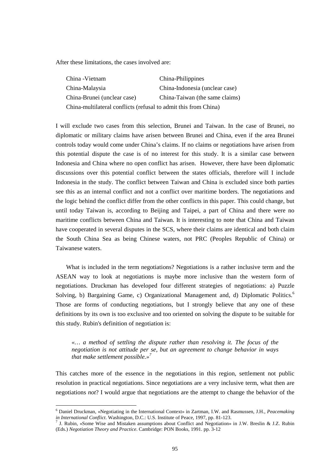After these limitations, the cases involved are:

| China -Vietnam                                                  | China-Philippines              |
|-----------------------------------------------------------------|--------------------------------|
| China-Malaysia                                                  | China-Indonesia (unclear case) |
| China-Brunei (unclear case)                                     | China-Taiwan (the same claims) |
| China-multilateral conflicts (refusal to admit this from China) |                                |

I will exclude two cases from this selection, Brunei and Taiwan. In the case of Brunei, no diplomatic or military claims have arisen between Brunei and China, even if the area Brunei controls today would come under China's claims. If no claims or negotiations have arisen from this potential dispute the case is of no interest for this study. It is a similar case between Indonesia and China where no open conflict has arisen. However, there have been diplomatic discussions over this potential conflict between the states officials, therefore will I include Indonesia in the study. The conflict between Taiwan and China is excluded since both parties see this as an internal conflict and not a conflict over maritime borders. The negotiations and the logic behind the conflict differ from the other conflicts in this paper. This could change, but until today Taiwan is, according to Beijing and Taipei, a part of China and there were no maritime conflicts between China and Taiwan. It is interesting to note that China and Taiwan have cooperated in several disputes in the SCS, where their claims are identical and both claim the South China Sea as being Chinese waters, not PRC (Peoples Republic of China) or Taiwanese waters.

What is included in the term negotiations? Negotiations is a rather inclusive term and the ASEAN way to look at negotiations is maybe more inclusive than the western form of negotiations. Druckman has developed four different strategies of negotiations: a) Puzzle Solving, b) Bargaining Game, c) Organizational Management and, d) Diplomatic Politics.<sup>6</sup> Those are forms of conducting negotiations, but I strongly believe that any one of these definitions by its own is too exclusive and too oriented on solving the dispute to be suitable for this study. Rubin's definition of negotiation is:

*«… a method of settling the dispute rather than resolving it. The focus of the negotiation is not attitude per se, but an agreement to change behavior in ways that make settlement possible.»<sup>7</sup>*

This catches more of the essence in the negotiations in this region, settlement not public resolution in practical negotiations. Since negotiations are a very inclusive term, what then are negotiations *not*? I would argue that negotiations are the attempt to change the behavior of the

<sup>6</sup> Daniel Druckman, «Negotiating in the International Context» in Zartman, I.W. and Rasmussen, J.H., *Peacemaking in International Conflict*. Washington, D.C.: U.S. Institute of Peace, 1997, pp. 81-123.

<sup>&</sup>lt;sup>7</sup> J. Rubin, «Some Wise and Mistaken assumptions about Conflict and Negotiation» in J.W. Breslin & J.Z. Rubin (Eds.) *Negotiation Theory and Practice*. Cambridge: PON Books, 1991. pp. 3-12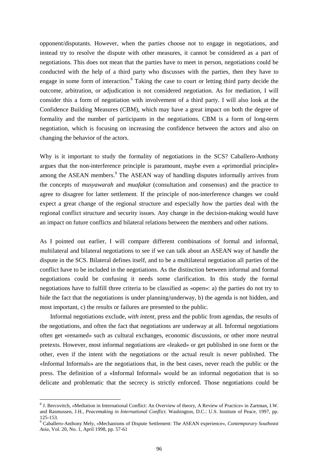opponent/disputants. However, when the parties choose not to engage in negotiations, and instead try to resolve the dispute with other measures, it cannot be considered as a part of negotiations. This does not mean that the parties have to meet in person, negotiations could be conducted with the help of a third party who discusses with the parties, then they have to engage in some form of interaction.<sup>8</sup> Taking the case to court or letting third party decide the outcome, arbitration, or adjudication is not considered negotiation. As for mediation, I will consider this a form of negotiation with involvement of a third party. I will also look at the Confidence Building Measures (CBM), which may have a great impact on both the degree of formality and the number of participants in the negotiations. CBM is a form of long-term negotiation, which is focusing on increasing the confidence between the actors and also on changing the behavior of the actors.

Why is it important to study the formality of negotiations in the SCS? Caballero-Anthony argues that the non-interference principle is paramount, maybe even a «primordial principle» among the ASEAN members.<sup>9</sup> The ASEAN way of handling disputes informally arrives from the concepts of *musyawarah* and *muafakat* (consultation and consensus) and the practice to agree to disagree for latter settlement. If the principle of non-interference changes we could expect a great change of the regional structure and especially how the parties deal with the regional conflict structure and security issues. Any change in the decision-making would have an impact on future conflicts and bilateral relations between the members and other nations.

As I pointed out earlier, I will compare different combinations of formal and informal, multilateral and bilateral negotiations to see if we can talk about an ASEAN way of handle the dispute in the SCS. Bilateral defines itself, and to be a multilateral negotiation all parties of the conflict have to be included in the negotiations. As the distinction between informal and formal negotiations could be confusing it needs some clarification. In this study the formal negotiations have to fulfill three criteria to be classified as «open»: a) the parties do not try to hide the fact that the negotiations is under planning/underway, b) the agenda is not hidden, and most important, c) the results or failures are presented to the public.

Informal negotiations exclude, *with intent*, press and the public from agendas, the results of the negotiations, and often the fact that negotiations are underway at all. Informal negotiations often get «renamed» such as cultural exchanges, economic discussions, or other more neutral pretexts. However, most informal negotiations are «leaked» or get published in one form or the other, even if the intent with the negotiations or the actual result is never published. The «Informal Informals» are the negotiations that, in the best cases, never reach the public or the press. The definition of a «Informal Informal» would be an informal negotiation that is so delicate and problematic that the secrecy is strictly enforced. Those negotiations could be

<sup>&</sup>lt;sup>8</sup> J. Bercovitch, «Mediation in International Conflict: An Overview of theory, A Review of Practice» in Zartman, I.W. and Rasmussen, J.H., *Peacemaking in International Conflict*. Washington, D.C.: U.S. Institute of Peace, 1997, pp. 125-153.

<sup>9</sup> Caballero-Anthony Mely, «Mechanisms of Dispute Settlement: The ASEAN experience», *Contemporary Southeast Asia*, Vol. 20, No. 1, April 1998, pp. 57-61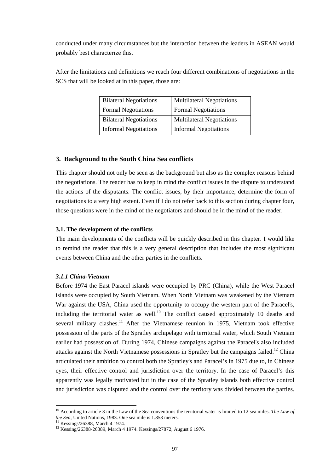conducted under many circumstances but the interaction between the leaders in ASEAN would probably best characterize this.

After the limitations and definitions we reach four different combinations of negotiations in the SCS that will be looked at in this paper, those are:

| <b>Bilateral Negotiations</b> | <b>Multilateral Negotiations</b> |
|-------------------------------|----------------------------------|
| <b>Formal Negotiations</b>    | <b>Formal Negotiations</b>       |
| <b>Bilateral Negotiations</b> | <b>Multilateral Negotiations</b> |
| <b>Informal Negotiations</b>  | <b>Informal Negotiations</b>     |

# **3. Background to the South China Sea conflicts**

This chapter should not only be seen as the background but also as the complex reasons behind the negotiations. The reader has to keep in mind the conflict issues in the dispute to understand the actions of the disputants. The conflict issues, by their importance, determine the form of negotiations to a very high extent. Even if I do not refer back to this section during chapter four, those questions were in the mind of the negotiators and should be in the mind of the reader.

# **3.1. The development of the conflicts**

The main developments of the conflicts will be quickly described in this chapter. I would like to remind the reader that this is a very general description that includes the most significant events between China and the other parties in the conflicts.

# *3.1.1 China-Vietnam*

Before 1974 the East Paracel islands were occupied by PRC (China), while the West Paracel islands were occupied by South Vietnam. When North Vietnam was weakened by the Vietnam War against the USA, China used the opportunity to occupy the western part of the Paracel's, including the territorial water as well.<sup>10</sup> The conflict caused approximately 10 deaths and several military clashes.<sup>11</sup> After the Vietnamese reunion in 1975, Vietnam took effective possession of the parts of the Spratley archipelago with territorial water, which South Vietnam earlier had possession of. During 1974, Chinese campaigns against the Paracel's also included attacks against the North Vietnamese possessions in Spratley but the campaigns failed.<sup>12</sup> China articulated their ambition to control both the Spratley's and Paracel's in 1975 due to, in Chinese eyes, their effective control and jurisdiction over the territory. In the case of Paracel's this apparently was legally motivated but in the case of the Spratley islands both effective control and jurisdiction was disputed and the control over the territory was divided between the parties.

<sup>10</sup> According to article 3 in the Law of the Sea conventions the territorial water is limited to 12 sea miles. *The Law of the Sea*, United Nations, 1983. One sea mile is 1.853 meters. 11 Kessings/26388, March 4 1974.

<sup>12</sup> Kessing/26388-26389, March 4 1974. Kessings/27872, August 6 1976.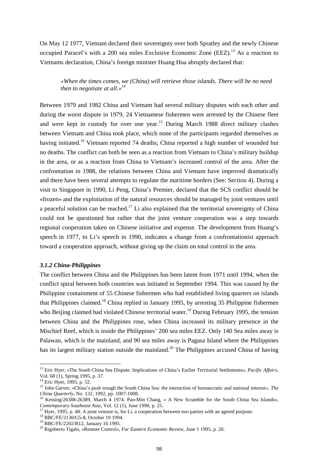On May 12 1977, Vietnam declared their sovereignty over both Spratley and the newly Chinese occupied Paracel's with a 200 sea miles Exclusive Economic Zone (EEZ).13 As a reaction to Vietnams declaration, China's foreign minister Huang Hua abruptly declared that:

*«When the times comes, we (China) will retrieve those islands. There will be no need then to negotiate at all.»<sup>14</sup>*

Between 1979 and 1982 China and Vietnam had several military disputes with each other and during the worst dispute in 1979, 24 Vietnamese fishermen were arrested by the Chinese fleet and were kept in custody for over one year.<sup>15</sup> During March 1988 direct military clashes between Vietnam and China took place, which none of the participants regarded themselves as having initiated.<sup>16</sup> Vietnam reported 74 deaths; China reported a high number of wounded but no deaths. The conflict can both be seen as a reaction from Vietnam to China's military buildup in the area, or as a reaction from China to Vietnam's increased control of the area. After the confrontation in 1988, the relations between China and Vietnam have improved dramatically and there have been several attempts to regulate the maritime borders (See: Section 4). During a visit to Singapore in 1990, Li Peng, China's Premier, declared that the SCS conflict should be «frozen» and the exploitation of the natural resources should be managed by joint ventures until a peaceful solution can be reached.<sup>17</sup> Li also explained that the territorial sovereignty of China could not be questioned but rather that the joint venture cooperation was a step towards regional cooperation taken on Chinese initiative and expense. The development from Huang's speech in 1977, to Li's speech in 1990, indicates a change from a confrontationist approach toward a cooperation approach, without giving up the claim on total control in the area.

#### *3.1.2 China-Philippines*

The conflict between China and the Philippines has been latent from 1971 until 1994, when the conflict spiral between both countries was initiated in September 1994. This was caused by the Philippine containment of 55 Chinese fishermen who had established living quarters on islands that Philippines claimed.18 China replied in January 1995, by arresting 35 Philippine fishermen who Beijing claimed had violated Chinese territorial water.<sup>19</sup> During February 1995, the tension between China and the Philippines rose, when China increased its military presence in the Mischief Reef, which is inside the Philippines' 200 sea miles EEZ. Only 140 Sea miles away is Palawan, which is the mainland, and 90 sea miles away is Pagasa Island where the Philippines has its largest military station outside the mainland.<sup>20</sup> The Philippines accused China of having

<sup>13</sup> Eric Hyer, «The South China Sea Dispute: Implications of China's Earlier Territorial Settlements», *Pacific Affairs*, Vol. 68 (1), Spring 1995, p. 37.

<sup>&</sup>lt;sup>14</sup> Eric Hyer, 1995, p. 52.

<sup>15</sup> John Garver, «China's push trough the South China Sea: the interaction of bureaucratic and national interest*», The*

*China Quarterly*, No. 132, 1992, pp. 1007-1008.<br><sup>16</sup> Kessing/26388-26389, March 4 1974. Pao-Min Chang, « A New Scramble for the South China Sea Islands»,<br>*Contemporary Southeast Asia*, Vol. 12 (1), June 1990, p. 25.

<sup>&</sup>lt;sup>17</sup> Hyer, 1995, p. 48. A joint venture is, for Li, a cooperation between *two* parties with an agreed purpose. <sup>18</sup> BBC/FE/2130/G5-8, October 19 1994.

<sup>19</sup> BBC/FE/2202/B12, January 16 1995.

<sup>20</sup> Rigoberto Tigalo, «Remote Control», *Far Eastern Economic Review*, June 1 1995, p. 20.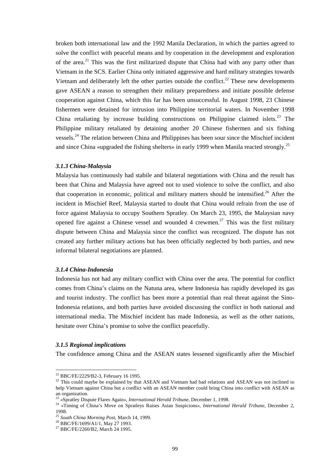broken both international law and the 1992 Manila Declaration, in which the parties agreed to solve the conflict with peaceful means and by cooperation in the development and exploration of the area.<sup>21</sup> This was the first militarized dispute that China had with any party other than Vietnam in the SCS. Earlier China only initiated aggressive and hard military strategies towards Vietnam and deliberately left the other parties outside the conflict.<sup>22</sup> These new developments gave ASEAN a reason to strengthen their military preparedness and initiate possible defense cooperation against China, which this far has been unsuccessful. In August 1998, 23 Chinese fishermen were detained for intrusion into Philippine territorial waters. In November 1998 China retaliating by increase building constructions on Philippine claimed islets.<sup>23</sup> The Philippine military retaliated by detaining another 20 Chinese fishermen and six fishing vessels.<sup>24</sup> The relation between China and Philippines has been sour since the Mischief incident and since China «upgraded the fishing shelters» in early 1999 when Manila reacted strongly.<sup>25</sup>

## *3.1.3 China-Malaysia*

Malaysia has continuously had stabile and bilateral negotiations with China and the result has been that China and Malaysia have agreed not to used violence to solve the conflict, and also that cooperation in economic, political and military matters should be intensified.<sup>26</sup> After the incident in Mischief Reef, Malaysia started to doubt that China would refrain from the use of force against Malaysia to occupy Southern Spratley. On March 23, 1995, the Malaysian navy opened fire against a Chinese vessel and wounded 4 crewmen.<sup>27</sup> This was the first military dispute between China and Malaysia since the conflict was recognized. The dispute has not created any further military actions but has been officially neglected by both parties, and new informal bilateral negotiations are planned.

# *3.1.4 China-Indonesia*

Indonesia has not had any military conflict with China over the area. The potential for conflict comes from China's claims on the Natuna area, where Indonesia has rapidly developed its gas and tourist industry. The conflict has been more a potential than real threat against the Sino-Indonesia relations, and both parties have avoided discussing the conflict in both national and international media. The Mischief incident has made Indonesia, as well as the other nations, hesitate over China's promise to solve the conflict peacefully.

#### *3.1.5 Regional implications*

 $\overline{a}$ 

The confidence among China and the ASEAN states lessened significantly after the Mischief

 $^{21}$  BBC/FE/2229/B2-3, February 16 1995.

<sup>&</sup>lt;sup>22</sup> This could maybe be explained by that ASEAN and Vietnam had bad relations and ASEAN was not inclined to help Vietnam against China but a conflict with an ASEAN member could bring China into conflict with ASEAN as an organization.<br><sup>23</sup> «Spratley Dispute Flares Again», *International Herald Tribune*, December 1, 1998.

<sup>&</sup>lt;sup>24</sup> «Timing of China's Move on Spratleys Raises Asian Suspicions», *International Herald Tribune*, December 2, 1998.<br><sup>25</sup> South China Morning Post. March 14, 1999.

<sup>25</sup> *South China Morning Post*, March 14, 1999. 26 BBC/FE/1699/A1/1, May 27 1993.

<sup>27</sup> BBC/FE/2260/B2, March 24 1995.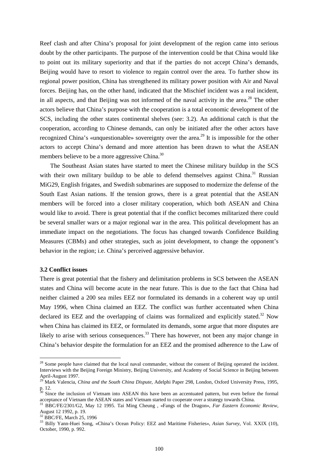Reef clash and after China's proposal for joint development of the region came into serious doubt by the other participants. The purpose of the intervention could be that China would like to point out its military superiority and that if the parties do not accept China's demands, Beijing would have to resort to violence to regain control over the area. To further show its regional power position, China has strengthened its military power position with Air and Naval forces. Beijing has, on the other hand, indicated that the Mischief incident was a real incident, in all aspects, and that Beijing was not informed of the naval activity in the area.<sup>28</sup> The other actors believe that China's purpose with the cooperation is a total economic development of the SCS, including the other states continental shelves (see: 3.2). An additional catch is that the cooperation, according to Chinese demands, can only be initiated after the other actors have recognized China's «unquestionable» sovereignty over the area.<sup>29</sup> It is impossible for the other actors to accept China's demand and more attention has been drawn to what the ASEAN members believe to be a more aggressive China.<sup>30</sup>

The Southeast Asian states have started to meet the Chinese military buildup in the SCS with their own military buildup to be able to defend themselves against China.<sup>31</sup> Russian MiG29, English frigates, and Swedish submarines are supposed to modernize the defense of the South East Asian nations. If the tension grows, there is a great potential that the ASEAN members will be forced into a closer military cooperation, which both ASEAN and China would like to avoid. There is great potential that if the conflict becomes militarized there could be several smaller wars or a major regional war in the area. This political development has an immediate impact on the negotiations. The focus has changed towards Confidence Building Measures (CBMs) and other strategies, such as joint development, to change the opponent's behavior in the region; i.e. China's perceived aggressive behavior.

# **3.2 Conflict issues**

 $\overline{a}$ 

There is great potential that the fishery and delimitation problems in SCS between the ASEAN states and China will become acute in the near future. This is due to the fact that China had neither claimed a 200 sea miles EEZ nor formulated its demands in a coherent way up until May 1996, when China claimed an EEZ. The conflict was further accentuated when China declared its EEZ and the overlapping of claims was formalized and explicitly stated.<sup>32</sup> Now when China has claimed its EEZ, or formulated its demands, some argue that more disputes are likely to arise with serious consequences.<sup>33</sup> There has however, not been any major change in China's behavior despite the formulation for an EEZ and the promised adherence to the Law of

<sup>&</sup>lt;sup>28</sup> Some people have claimed that the local naval commander, without the consent of Beijing operated the incident. Interviews with the Beijing Foreign Ministry, Beijing University, and Academy of Social Science in Beijing between April-August 1997.

<sup>29</sup> Mark Valencia, *China and the South China Dispute*, Adelphi Paper 298, London, Oxford University Press, 1995, p. 12.

<sup>&</sup>lt;sup>30</sup> Since the inclusion of Vietnam into ASEAN this have been an accentuated pattern, but even before the formal acceptance of Vietnam the ASEAN states and Vietnam started to cooperate over a strategy towards China. 31 BBC/FE/2301/G2, May 12 1995. Tai Ming Cheung , «Fangs of the Dragon», *Far Eastern Economic Review*,

August 12 1992, p. 19.

<sup>32</sup> BBC/FE, March 25, 1996

<sup>33</sup> Billy Yann-Huei Song, «China's Ocean Policy: EEZ and Maritime Fisheries», *Asian Survey*, Vol. XXIX (10), October, 1990, p. 992.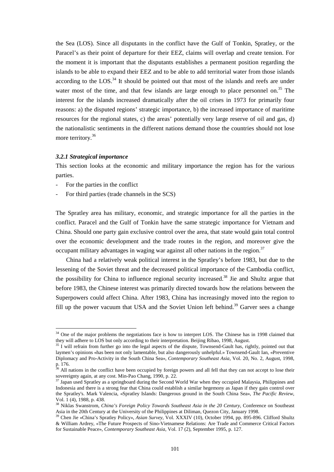the Sea (LOS). Since all disputants in the conflict have the Gulf of Tonkin, Spratley, or the Paracel's as their point of departure for their EEZ, claims will overlap and create tension. For the moment it is important that the disputants establishes a permanent position regarding the islands to be able to expand their EEZ and to be able to add territorial water from those islands according to the  $\text{LOS}^{34}$  It should be pointed out that most of the islands and reefs are under water most of the time, and that few islands are large enough to place personnel on.<sup>35</sup> The interest for the islands increased dramatically after the oil crises in 1973 for primarily four reasons: a) the disputed regions' strategic importance, b) the increased importance of maritime resources for the regional states, c) the areas' potentially very large reserve of oil and gas, d) the nationalistic sentiments in the different nations demand those the countries should not lose more territory.<sup>36</sup>

# *3.2.1 Strategical importance*

This section looks at the economic and military importance the region has for the various parties.

For the parties in the conflict

 $\overline{a}$ 

- For third parties (trade channels in the SCS)

The Spratley area has military, economic, and strategic importance for all the parties in the conflict. Paracel and the Gulf of Tonkin have the same strategic importance for Vietnam and China. Should one party gain exclusive control over the area, that state would gain total control over the economic development and the trade routes in the region, and moreover give the occupant military advantages in waging war against all other nations in the region.<sup>37</sup>

China had a relatively weak political interest in the Spratley's before 1983, but due to the lessening of the Soviet threat and the decreased political importance of the Cambodia conflict, the possibility for China to influence regional security increased.<sup>38</sup> Jie and Shultz argue that before 1983, the Chinese interest was primarily directed towards how the relations between the Superpowers could affect China. After 1983, China has increasingly moved into the region to fill up the power vacuum that USA and the Soviet Union left behind.<sup>39</sup> Garver sees a change

 $34$  One of the major problems the negotiations face is how to interpret LOS. The Chinese has in 1998 claimed that they will adhere to LOS but only according to their interpretation. Beijing Ribao, 1998, August.

 $\frac{35}{1}$  I will refrain from further go into the legal aspects of the dispute, Townsend-Gault has, rightly, pointed out that laymen's opinions «has been not only lamentable, but also dangerously unhelpful.» Townsend-Gault Ian, «Preventive Diplomacy and Pro-Activity in the South China Sea», *Contemporary Southeast Asia*, Vol. 20, No. 2, August, 1998, p. 176.

<sup>&</sup>lt;sup>36</sup> All nations in the conflict have been occupied by foreign powers and all fell that they can not accept to lose their sovereignty again, at any cost. Min-Pao Chang, 1990, p. 22.

 $37$  Japan used Spratley as a springboard during the Second World War when they occupied Malaysia, Philippines and Indonesia and there is a strong fear that China could establish a similar hegemony as Japan if they gain control over the Spratley's. Mark Valencia, «Spratley Islands: Dangerous ground in the South China Sea», *The Pacific Review*, Vol. 1 (4), 1988, p. 438.

<sup>38</sup> Niklas Swanstrom, *China's Foreign Policy Towards Southeast Asia in the 20 Century*, Conference on Southeast Asia in the 20th Century at the University of the Philippines at Diliman, Quezon City, January 1998.

<sup>39</sup> Chen Jie «China's Spratley Policy», *Asian Survey*, Vol. XXXIV (10), October 1994, pp. 895-896. Clifford Shultz & William Ardrey, «The Future Prospects of Sino-Vietnamese Relations: Are Trade and Commerce Critical Factors for Sustainable Peace», *Contemporary Southeast Asia*, Vol. 17 (2), September 1995, p. 127.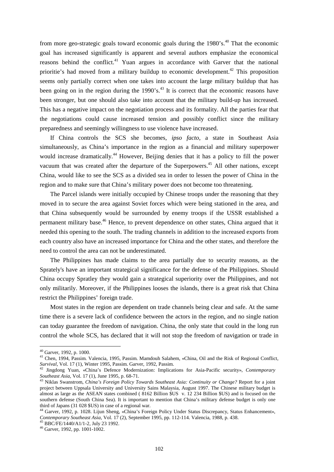from more geo-strategic goals toward economic goals during the  $1980$ 's.<sup>40</sup> That the economic goal has increased significantly is apparent and several authors emphasize the economical reasons behind the conflict.<sup>41</sup> Yuan argues in accordance with Garver that the national prioritie's had moved from a military buildup to economic development.<sup>42</sup> This proposition seems only partially correct when one takes into account the large military buildup that has been going on in the region during the  $1990$ 's.<sup>43</sup> It is correct that the economic reasons have been stronger, but one should also take into account that the military build-up has increased. This has a negative impact on the negotiation process and its formality. All the parties fear that the negotiations could cause increased tension and possibly conflict since the military preparedness and seemingly willingness to use violence have increased.

If China controls the SCS she becomes, *ipso facto*, a state in Southeast Asia simultaneously, as China's importance in the region as a financial and military superpower would increase dramatically.<sup>44</sup> However, Beijing denies that it has a policy to fill the power vacuum that was created after the departure of the Superpowers.<sup>45</sup> All other nations, except China, would like to see the SCS as a divided sea in order to lessen the power of China in the region and to make sure that China's military power does not become too threatening.

The Parcel islands were initially occupied by Chinese troops under the reasoning that they moved in to secure the area against Soviet forces which were being stationed in the area, and that China subsequently would be surrounded by enemy troops if the USSR established a permanent military base.<sup>46</sup> Hence, to prevent dependence on other states, China argued that it needed this opening to the south. The trading channels in addition to the increased exports from each country also have an increased importance for China and the other states, and therefore the need to control the area can not be underestimated.

The Philippines has made claims to the area partially due to security reasons, as the Sprately's have an important strategical significance for the defense of the Philippines. Should China occupy Spratley they would gain a strategical superiority over the Philippines, and not only militarily. Moreover, if the Philippines looses the islands, there is a great risk that China restrict the Philippines' foreign trade.

Most states in the region are dependent on trade channels being clear and safe. At the same time there is a severe lack of confidence between the actors in the region, and no single nation can today guarantee the freedom of navigation. China, the only state that could in the long run control the whole SCS, has declared that it will not stop the freedom of navigation or trade in

<sup>40</sup> Garver, 1992, p. 1000.

<sup>41</sup> Chen, 1994, Passim. Valencia, 1995, Passim. Mamdouh Salahem, «China, Oil and the Risk of Regional Conflict, *Survival*, Vol. 17 (1), Winter 1995, Passim. Garver, 1992, Passim. 42 Jingdong Yuan, «China's Defence Modernization: Implications for Asia-Pacific security», *Contemporary*

*Southeast Asia*, Vol. 17 (1), June 1995, p. 68-71. 43 Niklas Swanstrom, *China's Foreign Policy Towards Southeast Asia: Continuity or Change?* Report for a joint

project between Uppsala University and University Sains Malaysia, August 1997. The Chinese military budget is almost as large as the ASEAN states combined ( 8162 Billion \$US v. 12 234 Billion \$US) and is focused on the southern defense (South China Sea). It is important to mention that China's military defense budget is only one third of Japans (31 028 \$US) in case of a regional war.

<sup>44</sup> Garver, 1992, p. 1028. Lijun Sheng, «China's Foreign Policy Under Status Discrepancy, Status Enhancement», *Contemporary Southeast Asia*, Vol. 17 (2), September 1995, pp. 112-114. Valencia, 1988, p. 438. 45 BBC/FE/1440/A1/1-2, July 23 1992.

<sup>46</sup> Garver, 1992, pp. 1001-1002.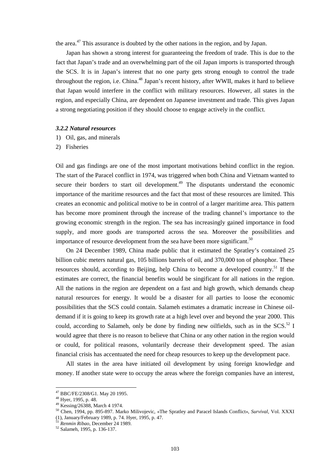the area.<sup>47</sup> This assurance is doubted by the other nations in the region, and by Japan.

Japan has shown a strong interest for guaranteeing the freedom of trade. This is due to the fact that Japan's trade and an overwhelming part of the oil Japan imports is transported through the SCS. It is in Japan's interest that no one party gets strong enough to control the trade throughout the region, i.e. China.<sup>48</sup> Japan's recent history, after WWII, makes it hard to believe that Japan would interfere in the conflict with military resources. However, all states in the region, and especially China, are dependent on Japanese investment and trade. This gives Japan a strong negotiating position if they should choose to engage actively in the conflict.

#### *3.2.2 Natural resources*

- 1) Oil, gas, and minerals
- 2) Fisheries

Oil and gas findings are one of the most important motivations behind conflict in the region. The start of the Paracel conflict in 1974, was triggered when both China and Vietnam wanted to secure their borders to start oil development.<sup> $49$ </sup> The disputants understand the economic importance of the maritime resources and the fact that most of these resources are limited. This creates an economic and political motive to be in control of a larger maritime area. This pattern has become more prominent through the increase of the trading channel's importance to the growing economic strength in the region. The sea has increasingly gained importance in food supply, and more goods are transported across the sea. Moreover the possibilities and importance of resource development from the sea have been more significant.<sup>50</sup>

On 24 December 1989, China made public that it estimated the Spratley's contained 25 billion cubic meters natural gas, 105 billions barrels of oil, and 370,000 ton of phosphor. These resources should, according to Beijing, help China to become a developed country.<sup>51</sup> If the estimates are correct, the financial benefits would be singificant for all nations in the region. All the nations in the region are dependent on a fast and high growth, which demands cheap natural resources for energy. It would be a disaster for all parties to loose the economic possibilities that the SCS could contain. Salameh estimates a dramatic increase in Chinese oildemand if it is going to keep its growth rate at a high level over and beyond the year 2000. This could, according to Salameh, only be done by finding new oilfields, such as in the SCS.<sup>52</sup> I would agree that there is no reason to believe that China or any other nation in the region would or could, for political reasons, voluntarily decrease their development speed. The asian financial crisis has accentuated the need for cheap resources to keep up the development pace.

All states in the area have initiated oil development by using foreign knowledge and money. If another state were to occupy the areas where the foreign companies have an interest,

<sup>47</sup> BBC/FE/2308/G1. May 20 1995.

 $48$  Hyer, 1995, p. 48.

<sup>49</sup> Kessing/26388, March 4 1974.

<sup>50</sup> Chen, 1994, pp. 895-897. Marko Milivojevic, «The Spratley and Paracel Islands Conflict», *Survival*, Vol. XXXI (1), January/February 1989, p. 74. Hyer, 1995, p. 47.

<sup>51</sup> *Renmin Ribao*, December 24 1989. 52 Salameh, 1995, p. 136-137.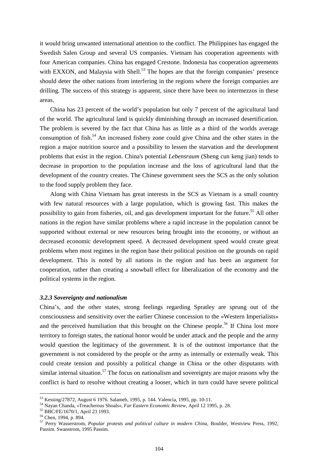it would bring unwanted international attention to the conflict. The Philippines has engaged the Swedish Salen Group and several US companies. Vietnam has cooperation agreements with four American companies. China has engaged Crestone. Indonesia has cooperation agreements with EXXON, and Malaysia with Shell.<sup>53</sup> The hopes are that the foreign companies' presence should deter the other nations from interfering in the regions where the foreign companies are drilling. The success of this strategy is apparent, since there have been no intermezzos in these areas.

China has 23 percent of the world's population but only 7 percent of the agricultural land of the world. The agricultural land is quickly diminishing through an increased desertification. The problem is severed by the fact that China has as little as a third of the worlds average consumption of fish.<sup>54</sup> An increased fishery zone could give China and the other states in the region a major nutrition source and a possibility to lessen the starvation and the development problems that exist in the region. China's potential *Lebensraum* (Sheng cun keng jian) tends to decrease in proportion to the population increase and the loss of agricultural land that the development of the country creates. The Chinese government sees the SCS as the only solution to the food supply problem they face.

Along with China Vietnam has great interests in the SCS as Vietnam is a small country with few natural resources with a large population, which is growing fast. This makes the possibility to gain from fisheries, oil, and gas development important for the future.<sup>55</sup> All other nations in the region have similar problems where a rapid increase in the population cannot be supported without external or new resources being brought into the economy, or without an decreased economic development speed. A decreased development speed would create great problems when most regimes in the region base their political position on the grounds on rapid development. This is noted by all nations in the region and has been an argument for cooperation, rather than creating a snowball effect for liberalization of the economy and the political systems in the region.

# *3.2.3 Sovereignty and nationalism*

China's, and the other states, strong feelings regarding Spratley are sprung out of the consciousness and sensitivity over the earlier Chinese concession to the «Western Imperialists» and the perceived humiliation that this brought on the Chinese people.<sup>56</sup> If China lost more territory to foreign states, the national honor would be under attack and the people and the army would question the legitimacy of the government. It is of the outmost importance that the government is not considered by the people or the army as internally or externally weak. This could create tension and possibly a political change in China or the other disputants with similar internal situation.<sup>57</sup> The focus on nationalism and sovereignty are major reasons why the conflict is hard to resolve without creating a looser, which in turn could have severe political

<sup>53</sup> Kessing/27872, August 6 1976. Salameh, 1995, p. 144. Valencia, 1995, pp. 10-11.

<sup>54</sup> Nayan Chanda, «Treacherous Shoals», *Far Eastern Economic Review*, April 12 1995, p. 28. 55 BBC/FE/1670/1, April 23 1993.

<sup>56</sup> Chen, 1994, p. 894.

<sup>57</sup> Perry Wasserstrom, *Popular protests and political culture in modern China*, Boulder, Westview Press, 1992, Passim. Swanstrom, 1995 Passim.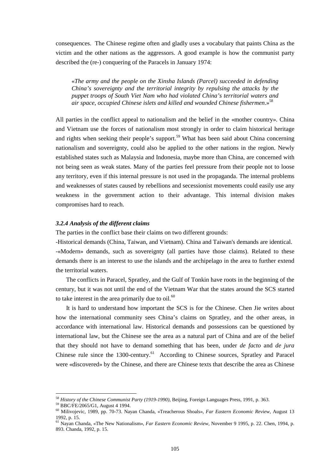consequences. The Chinese regime often and gladly uses a vocabulary that paints China as the victim and the other nations as the aggressors. A good example is how the communist party described the (re-) conquering of the Paracels in January 1974:

«*The army and the people on the Xinsha Islands (Parcel) succeeded in defending China's sovereignty and the territorial integrity by repulsing the attacks by the puppet troops of South Viet Nam who had violated China's territorial waters and air space, occupied Chinese islets and killed and wounded Chinese fishermen*.» 58

All parties in the conflict appeal to nationalism and the belief in the «mother country». China and Vietnam use the forces of nationalism most strongly in order to claim historical heritage and rights when seeking their people's support.<sup>59</sup> What has been said about China concerning nationalism and sovereignty, could also be applied to the other nations in the region. Newly established states such as Malaysia and Indonesia, maybe more than China, are concerned with not being seen as weak states. Many of the parties feel pressure from their people not to loose any territory, even if this internal pressure is not used in the propaganda. The internal problems and weaknesses of states caused by rebellions and secessionist movements could easily use any weakness in the government action to their advantage. This internal division makes compromises hard to reach.

#### *3.2.4 Analysis of the different claims*

The parties in the conflict base their claims on two different grounds:

-Historical demands (China, Taiwan, and Vietnam). China and Taiwan's demands are identical.

-«Modern» demands, such as sovereignty (all parties have those claims). Related to these demands there is an interest to use the islands and the archipelago in the area to further extend the territorial waters.

The conflicts in Paracel, Spratley, and the Gulf of Tonkin have roots in the beginning of the century, but it was not until the end of the Vietnam War that the states around the SCS started to take interest in the area primarily due to  $\delta$ <sup>60</sup>

It is hard to understand how important the SCS is for the Chinese. Chen Jie writes about how the international community sees China's claims on Spratley, and the other areas, in accordance with international law. Historical demands and possessions can be questioned by international law, but the Chinese see the area as a natural part of China and are of the belief that they should not have to demand something that has been, under *de facto* and *de jura* Chinese rule since the 1300-century.<sup>61</sup> According to Chinese sources, Spratley and Paracel were «discovered» by the Chinese, and there are Chinese texts that describe the area as Chinese

<sup>58</sup> *History of the Chinese Communist Party (1919-1990)*, Beijing, Foreign Languages Press, 1991, p. 363. 59 BBC/FE/2065/G1, August 4 1994.

<sup>60</sup> Milivojevic, 1989, pp. 70-73. Nayan Chanda, «Treacherous Shoals», *Far Eastern Economic Review*, August 13 1992, p. 15.

<sup>61</sup> Nayan Chanda, «The New Nationalism», *Far Eastern Economic Review*, November 9 1995, p. 22. Chen, 1994, p. 893. Chanda, 1992, p. 15.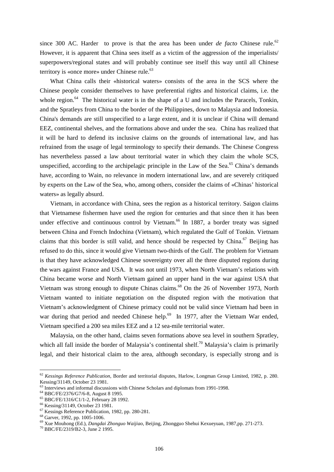since 300 AC. Harder to prove is that the area has been under  $de$  facto Chinese rule.<sup>62</sup> However, it is apparent that China sees itself as a victim of the aggression of the imperialists/ superpowers/regional states and will probably continue see itself this way until all Chinese territory is «once more» under Chinese rule.<sup>63</sup>

What China calls their «historical waters» consists of the area in the SCS where the Chinese people consider themselves to have preferential rights and historical claims, i.e. the whole region. $64$  The historical water is in the shape of a U and includes the Paracels, Tonkin, and the Spratleys from China to the border of the Philippines, down to Malaysia and Indonesia. China's demands are still unspecified to a large extent, and it is unclear if China will demand EEZ, continental shelves, and the formations above and under the sea. China has realized that it will be hard to defend its inclusive claims on the grounds of international law, and has refrained from the usage of legal terminology to specify their demands. The Chinese Congress has nevertheless passed a law about territorial water in which they claim the whole SCS, unspecified, according to the archipelagic principle in the Law of the Sea.<sup>65</sup> China's demands have, according to Wain, no relevance in modern international law, and are severely critiqued by experts on the Law of the Sea, who, among others, consider the claims of «Chinas' historical waters» as legally absurd.

Vietnam, in accordance with China, sees the region as a historical territory. Saigon claims that Vietnamese fishermen have used the region for centuries and that since then it has been under effective and continuous control by Vietnam.<sup>66</sup> In 1887, a border treaty was signed between China and French Indochina (Vietnam), which regulated the Gulf of Tonkin. Vietnam claims that this border is still valid, and hence should be respected by China.<sup>67</sup> Beijing has refused to do this, since it would give Vietnam two-thirds of the Gulf. The problem for Vietnam is that they have acknowledged Chinese sovereignty over all the three disputed regions during the wars against France and USA. It was not until 1973, when North Vietnam's relations with China became worse and North Vietnam gained an upper hand in the war against USA that Vietnam was strong enough to dispute Chinas claims.<sup>68</sup> On the 26 of November 1973, North Vietnam wanted to initiate negotiation on the disputed region with the motivation that Vietnam's acknowledgment of Chinese primacy could not be valid since Vietnam had been in war during that period and needed Chinese help.<sup>69</sup> In 1977, after the Vietnam War ended, Vietnam specified a 200 sea miles EEZ and a 12 sea-mile territorial water.

Malaysia, on the other hand, claims seven formations above sea level in southern Spratley, which all fall inside the border of Malaysia's continental shelf.<sup>70</sup> Malaysia's claim is primarily legal, and their historical claim to the area, although secondary, is especially strong and is

<sup>62</sup> *Kessings Reference Publication*, Border and territorial disputes, Harlow, Longman Group Limited, 1982, p. 280. Kessing/31149, October 23 1981.

<sup>&</sup>lt;sup>63</sup> Interviews and informal discussions with Chinese Scholars and diplomats from 1991-1998.

<sup>64</sup> BBC/FE/2376/G7/6-8, August 8 1995.

<sup>65</sup> BBC/FE/1316/C1/1-2, February 28 1992.

<sup>66</sup> Kessing/31149, October 23 1981.

<sup>67</sup> Kessings Reference Publication, 1982, pp. 280-281.

<sup>68</sup> Garver, 1992, pp. 1005-1006.

<sup>69</sup> Xue Mouhong (Ed.), *Dangdai Zhonguo Waijiao*, Beijing, Zhongguo Shehui Kexueyuan, 1987,pp. 271-273. 70 BBC/FE/2319/B2-3, June 2 1995.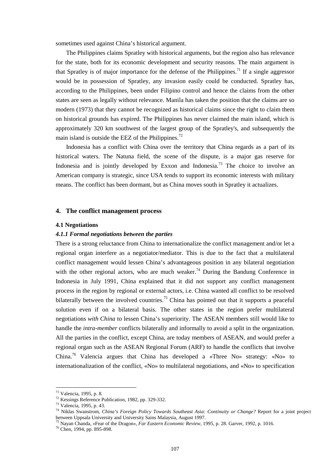sometimes used against China's historical argument.

The Philippines claims Spratley with historical arguments, but the region also has relevance for the state, both for its economic development and security reasons. The main argument is that Spratley is of major importance for the defense of the Philippines.<sup>71</sup> If a single aggressor would be in possession of Spratley, any invasion easily could be conducted. Spratley has, according to the Philippines, been under Filipino control and hence the claims from the other states are seen as legally without relevance. Manila has taken the position that the claims are so modern (1973) that they cannot be recognized as historical claims since the right to claim them on historical grounds has expired. The Philippines has never claimed the main island, which is approximately 320 km southwest of the largest group of the Spratley's, and subsequently the main island is outside the EEZ of the Philippines.<sup>72</sup>

Indonesia has a conflict with China over the territory that China regards as a part of its historical waters. The Natuna field, the scene of the dispute, is a major gas reserve for Indonesia and is jointly developed by Exxon and Indonesia.<sup>73</sup> The choice to involve an American company is strategic, since USA tends to support its economic interests with military means. The conflict has been dormant, but as China moves south in Spratley it actualizes.

# **4. The conflict management process**

#### **4.1 Negotiations**

#### *4.1.1 Formal negotiations between the parties*

There is a strong reluctance from China to internationalize the conflict management and/or let a regional organ interfere as a negotiator/mediator. This is due to the fact that a multilateral conflict management would lessen China's advantageous position in any bilateral negotiation with the other regional actors, who are much weaker.<sup>74</sup> During the Bandung Conference in Indonesia in July 1991, China explained that it did not support any conflict management process in the region by regional or external actors, i.e. China wanted all conflict to be resolved bilaterally between the involved countries.<sup>75</sup> China has pointed out that it supports a peaceful solution even if on a bilateral basis. The other states in the region prefer multilateral negotiations *with China* to lessen China's superiority. The ASEAN members still would like to handle the *intra-member* conflicts bilaterally and informally to avoid a split in the organization. All the parties in the conflict, except China, are today members of ASEAN, and would prefer a regional organ such as the ASEAN Regional Forum (ARF) to handle the conflicts that involve China.76 Valencia argues that China has developed a «Three No» strategy: «No» to internationalization of the conflict, «No» to multilateral negotiations, and «No» to specification

<sup>71</sup> Valencia, 1995, p. 8.

<sup>72</sup> Kessings Reference Publication, 1982, pp. 329-332.

<sup>73</sup> Valencia, 1995, p. 43.

<sup>74</sup> Niklas Swanstrom, *China's Foreign Policy Towards Southeast Asia: Continuity or Change?* Report for a joint project between Uppsala University and University Sains Malaysia, August 1997.

<sup>75</sup> Nayan Chanda, «Fear of the Dragon», *Far Eastern Economic Review*, 1995, p. 28. Garver, 1992, p. 1016. 76 Chen, 1994, pp. 895-898.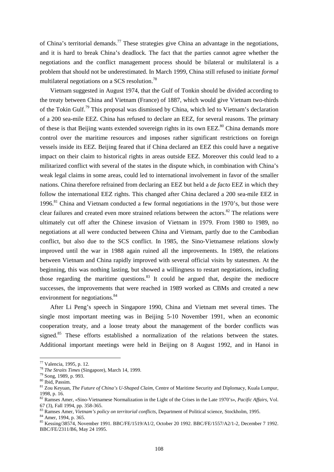of China's territorial demands.<sup>77</sup> These strategies give China an advantage in the negotiations, and it is hard to break China's deadlock. The fact that the parties cannot agree whether the negotiations and the conflict management process should be bilateral or multilateral is a problem that should not be underestimated. In March 1999, China still refused to initiate *formal* multilateral negotiations on a SCS resolution.<sup>78</sup>

Vietnam suggested in August 1974, that the Gulf of Tonkin should be divided according to the treaty between China and Vietnam (France) of 1887, which would give Vietnam two-thirds of the Tokin Gulf.79 This proposal was dismissed by China, which led to Vietnam's declaration of a 200 sea-mile EEZ. China has refused to declare an EEZ, for several reasons. The primary of these is that Beijing wants extended sovereign rights in its own EEZ.<sup>80</sup> China demands more control over the maritime resources and imposes rather significant restrictions on foreign vessels inside its EEZ. Beijing feared that if China declared an EEZ this could have a negative impact on their claim to historical rights in areas outside EEZ. Moreover this could lead to a militarized conflict with several of the states in the dispute which, in combination with China's weak legal claims in some areas, could led to international involvement in favor of the smaller nations. China therefore refrained from declaring an EEZ but held a *de facto* EEZ in which they follow the international EEZ rights. This changed after China declared a 200 sea-mile EEZ in 1996.<sup>81</sup> China and Vietnam conducted a few formal negotiations in the 1970's, but those were clear failures and created even more strained relations between the actors.<sup>82</sup> The relations were ultimately cut off after the Chinese invasion of Vietnam in 1979. From 1980 to 1989, no negotiations at all were conducted between China and Vietnam, partly due to the Cambodian conflict, but also due to the SCS conflict. In 1985, the Sino-Vietnamese relations slowly improved until the war in 1988 again ruined all the improvements. In 1989, the relations between Vietnam and China rapidly improved with several official visits by statesmen. At the beginning, this was nothing lasting, but showed a willingness to restart negotiations, including those regarding the maritime questions. $83$  It could be argued that, despite the mediocre successes, the improvements that were reached in 1989 worked as CBMs and created a new environment for negotiations.<sup>84</sup>

After Li Peng's speech in Singapore 1990, China and Vietnam met several times. The single most important meeting was in Beijing 5-10 November 1991, when an economic cooperation treaty, and a loose treaty about the management of the border conflicts was signed.<sup>85</sup> These efforts established a normalization of the relations between the states. Additional important meetings were held in Beijing on 8 August 1992, and in Hanoi in

<sup>77</sup> Valencia, 1995, p. 12.

<sup>78</sup> *The Straits Times* (Singapore), March 14, 1999. 79 Song, 1989, p. 993.

<sup>80</sup> Ibid, Passim.

<sup>81</sup> Zou Keyuan, *The Future of China's U-Shaped Claim*, Centre of Maritime Security and Diplomacy, Kuala Lumpur, 1998, p. 16.

<sup>82</sup> Ramses Amer, «Sino-Vietnamese Normalization in the Light of the Crises in the Late 1970's», *Pacific Affairs*, Vol. 67 (3), Fall 1994, pp. 358-365.

<sup>&</sup>lt;sup>83</sup> Ramses Amer, *Vietnam's policy on territorial conflicts*, Department of Political science, Stockholm, 1995.<br><sup>84</sup> Amer, 1994, p. 365.

<sup>85</sup> Kessing/38574, November 1991. BBC/FE/1519/A1/2, October 20 1992. BBC/FE/1557/A2/1-2, December 7 1992. BBC/FE/2311/B6, May 24 1995.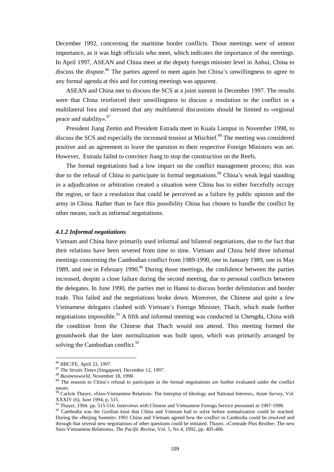December 1992, concerning the maritime border conflicts. Those meetings were of utmost importance, as it was high officials who meet, which indicates the importance of the meetings. In April 1997, ASEAN and China meet at the deputy foreign minister level in Anhui, China to discuss the dispute.<sup>86</sup> The parties agreed to meet again but China's unwillingness to agree to any formal agenda at this and for coming meetings was apparent.

ASEAN and China met to discuss the SCS at a joint summit in December 1997. The results were that China reinforced their unwillingness to discuss a resolution to the conflict in a multilateral fora and stressed that any multilateral discussions should be limited to «regional peace and stability». $87$ 

President Jiang Zemin and President Estrada meet in Kuala Lumpur in November 1998, to discuss the SCS and especially the increased tension at Mischief.<sup>88</sup> The meeting was considered positive and an agreement to leave the question to their respective Foreign Ministers was set. However, Estrada failed to convince Jiang to stop the construction on the Reefs.

The formal negotiations had a low impact on the conflict management process; this was due to the refusal of China to participate in formal negotiations.<sup>89</sup> China's weak legal standing in a adjudication or arbitration created a situation were China has to either forcefully occupy the region, or face a resolution that could be perceived as a failure by public opinion and the army in China. Rather than to face this possibility China has chosen to handle the conflict by other means, such as informal negotiations.

#### *4.1.2 Informal negotiations*

Vietnam and China have primarily used informal and bilateral negotiations, due to the fact that their relations have been severed from time to time. Vietnam and China held three informal meetings concerning the Cambodian conflict from 1989-1990, one in January 1989, one in May 1989, and one in February 1990. $90$  During those meetings, the confidence between the parties increased, despite a close failure during the second meeting, due to personal conflicts between the delegates. In June 1990, the parties met in Hanoi to discuss border delimitation and border trade. This failed and the negotiations broke down. Moreover, the Chinese and quite a few Vietnamese delegates clashed with Vietnam's Foreign Minister, Thach, which made further negotiations impossible.<sup>91</sup> A fifth and informal meeting was conducted in Chengdu, China with the condition from the Chinese that Thach would not attend. This meeting formed the groundwork that the later normalization was built upon, which was primarily arranged by solving the Cambodian conflict.<sup>92</sup>

 $^{86}$  BBC/FE, April 23, 1997.<br><sup>87</sup> *The Straits Times* (Singapore), December 12, 1997.

<sup>&</sup>lt;sup>88</sup> *Businessworld*, November 18, 1998. **89** The reasons to China's refusal to participate in the formal negotiations are further evaluated under the conflict issues.

<sup>90</sup> Carlyle Thayer, «Sino-Vietnamese Relations: The Interplay of Ideology and National Interest», *Asian Survey*, Vol. XXXIV (6), June 1994, p. 515.

<sup>&</sup>lt;sup>91</sup> Thayer, 1994. pp. 515-516. Interviews with Chinese and Vietnamese Foreign Service personnel in 1997-1998.

<sup>&</sup>lt;sup>92</sup> Cambodia was the Gordian knot that China and Vietnam had to solve before normalization could be reached. During the «Beijing Summit» 1991 China and Vietnam agreed how the conflict in Cambodia could be resolved and through that several new negotiations of other questions could be initiated. Thayer, «Comrade Plus Brother: The new Sino-Vietnamese Relations», *The Pacific Review*, Vol. 5, No 4, 1992, pp. 405-406.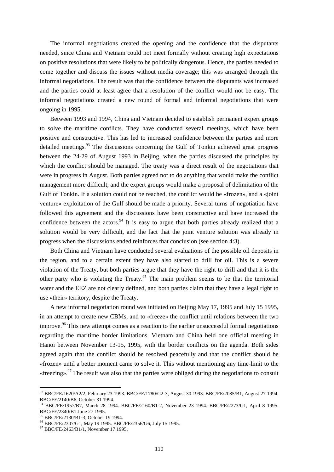The informal negotiations created the opening and the confidence that the disputants needed, since China and Vietnam could not meet formally without creating high expectations on positive resolutions that were likely to be politically dangerous. Hence, the parties needed to come together and discuss the issues without media coverage; this was arranged through the informal negotiations. The result was that the confidence between the disputants was increased and the parties could at least agree that a resolution of the conflict would not be easy. The informal negotiations created a new round of formal and informal negotiations that were ongoing in 1995.

Between 1993 and 1994, China and Vietnam decided to establish permanent expert groups to solve the maritime conflicts. They have conducted several meetings, which have been positive and constructive. This has led to increased confidence between the parties and more detailed meetings. $93$  The discussions concerning the Gulf of Tonkin achieved great progress between the 24-29 of August 1993 in Beijing, when the parties discussed the principles by which the conflict should be managed. The treaty was a direct result of the negotiations that were in progress in August. Both parties agreed not to do anything that would make the conflict management more difficult, and the expert groups would make a proposal of delimitation of the Gulf of Tonkin. If a solution could not be reached, the conflict would be «frozen», and a «joint venture» exploitation of the Gulf should be made a priority. Several turns of negotiation have followed this agreement and the discussions have been constructive and have increased the confidence between the actors.<sup>94</sup> It is easy to argue that both parties already realized that a solution would be very difficult, and the fact that the joint venture solution was already in progress when the discussions ended reinforces that conclusion (see section 4:3).

Both China and Vietnam have conducted several evaluations of the possible oil deposits in the region, and to a certain extent they have also started to drill for oil. This is a severe violation of the Treaty, but both parties argue that they have the right to drill and that it is the other party who is violating the Treaty.<sup>95</sup> The main problem seems to be that the territorial water and the EEZ are not clearly defined, and both parties claim that they have a legal right to use «their» territory, despite the Treaty.

A new informal negotiation round was initiated on Beijing May 17, 1995 and July 15 1995, in an attempt to create new CBMs, and to «freeze» the conflict until relations between the two improve.<sup>96</sup> This new attempt comes as a reaction to the earlier unsuccessful formal negotiations regarding the maritime border limitations. Vietnam and China held one official meeting in Hanoi between November 13-15, 1995, with the border conflicts on the agenda. Both sides agreed again that the conflict should be resolved peacefully and that the conflict should be «frozen» until a better moment came to solve it. This without mentioning any time-limit to the «freezing».<sup>97</sup> The result was also that the parties were obliged during the negotiations to consult

<sup>93</sup> BBC/FE/1620/A2/2, February 23 1993. BBC/FE/1780/G2-3, August 30 1993. BBC/FE/2085/B1, August 27 1994. BBC/FE/2140/B6, October 31 1994.

<sup>94</sup> BBC/FE/1957/B7, March 28 1994. BBC/FE/2160/B1-2, November 23 1994. BBC/FE/2273/G1, April 8 1995. BBC/FE/2340/B1 June 27 1995.

<sup>95</sup> BBC/FE/2130/B1-3, October 19 1994.

<sup>96</sup> BBC/FE/2307/G1, May 19 1995. BBC/FE/2356/G6, July 15 1995.

<sup>97</sup> BBC/FE/2463/B1/1, November 17 1995.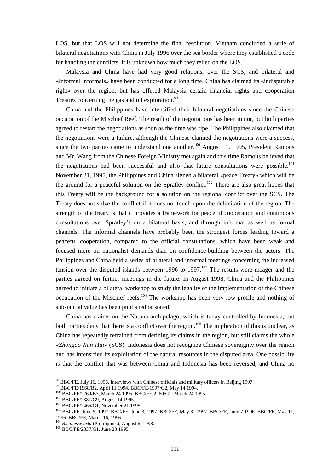LOS, but that LOS will not determine the final resolution. Vietnam concluded a serie of bilateral negotiations with China in July 1996 over the sea border where they established a code for handling the conflicts. It is unknown how much they relied on the LOS.<sup>98</sup>

Malaysia and China have had very good relations, over the SCS, and bilateral and «Informal Informals» have been conducted for a long time. China has claimed its «indisputable right» over the region, but has offered Malaysia certain financial rights and cooperation Treaties concerning the gas and oil exploration.<sup>99</sup>

China and the Philippines have intensified their bilateral negotiations since the Chinese occupation of the Mischief Reef. The result of the negotiations has been minor, but both parties agreed to restart the negotiations as soon as the time was ripe. The Philippines also claimed that the negotiations were a failure, although the Chinese claimed the negotiations were a success, since the two parties came to understand one another.<sup>100</sup> August 11, 1995, President Ramous and Mr. Wang from the Chinese Foreign Ministry met again and this time Ramous believed that the negotiations had been successful and also that future consultations were possible.<sup>101</sup> November 21, 1995, the Philippines and China signed a bilateral «peace Treaty» which will be the ground for a peaceful solution on the Spratley conflict.<sup>102</sup> There are also great hopes that this Treaty will be the background for a solution on the regional conflict over the SCS. The Treaty does not solve the conflict if it does not touch upon the delimitation of the region. The strength of the treaty is that it provides a framework for peaceful cooperation and continuous consultations over Spratley's on a bilateral basis, and through informal as well as formal channels. The informal channels have probably been the strongest forces leading toward a peaceful cooperation, compared to the official consultations, which have been weak and focused more on nationalist demands than on confidence-building between the actors. The Philippines and China held a series of bilateral and informal meetings concerning the increased tension over the disputed islands between 1996 to 1997.<sup>103</sup> The results were meager and the parties agreed on further meetings in the future. In August 1998, China and the Philippines agreed to initiate a bilateral workshop to study the legality of the implementation of the Chinese occupation of the Mischief reefs.<sup>104</sup> The workshop has been very low profile and nothing of substantial value has been published or stated.

China has claims on the Natuna archipelago, which is today controlled by Indonesia, but both parties deny that there is a conflict over the region.<sup>105</sup> The implication of this is unclear, as China has repeatedly refrained from defining its claims in the region, but still claims the whole «*Zhonguo Nan Hai*» (SCS). Indonesia does not recognize Chinese sovereignty over the region and has intensified its exploitation of the natural resources in the disputed area. One possibility is that the conflict that was between China and Indonesia has been reversed, and China no

<sup>&</sup>lt;sup>98</sup> BBC/FE, July 16, 1996. Interviews with Chinese officials and military officers in Beijing 1997.

<sup>&</sup>lt;sup>99</sup> BBC/FE/1968/B2, April 11 1994. BBC/FE/1997/G2, May 14 1994.<br><sup>100</sup> BBC/FE/2260/B3, March 24 1995. BBC/FE/2260/G1, March 24 1995.

<sup>&</sup>lt;sup>101</sup> BBC/FE/2381/G9, August 14 1995.<br><sup>102</sup> BBC/FE/2466/G1, November 21 1995.<br><sup>103</sup> BBC/FE, June 5, 1997. BBC/FE, June 3, 1997. BBC/FE, May 31 1997. BBC/FE, June 7 1996. BBC/FE, May 11, 1996. BBC/FE, March 16, 1996.

<sup>&</sup>lt;sup>104</sup> *Businessworld* (Philippines), August 6, 1998.<br><sup>105</sup> BBC/FE/2337/G1, June 23 1995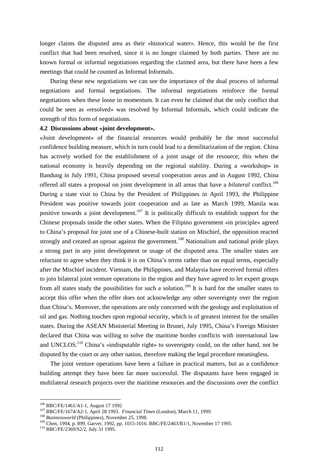longer claims the disputed area as their «historical water». Hence, this would be the first conflict that had been resolved, since it is no longer claimed by both parties. There are no known formal or informal negotiations regarding the claimed area, but there have been a few meetings that could be counted as Informal Informals.

During these new negotiations we can see the importance of the dual process of informal negotiations and formal negotiations. The informal negotiations reinforce the formal negotiations when these loose in momentum. It can even be claimed that the only conflict that could be seen as «resolved» was resolved by Informal Informals, which could indicate the strength of this form of negotiations.

#### **4.2 Discussions about «joint development».**

«Joint development» of the financial resources would probably be the most successful confidence building measure, which in turn could lead to a demilitarization of the region. China has actively worked for the establishment of a joint usage of the resource; this when the national economy is heavily depending on the regional stability. During a «workshop» in Bandung in July 1991, China proposed several cooperation areas and in August 1992, China offered all states a proposal on joint development in all areas that have a *bilateral* conflict.<sup>106</sup> During a state visit to China by the President of Philippines in April 1993, the Philippine President was positive towards joint cooperation and as late as March 1999, Manila was positive towards a joint development.<sup>107</sup> It is politically difficult to establish support for the Chinese proposals inside the other states. When the Filipino government «in principle» agreed to China's proposal for joint use of a Chinese-built station on Mischief, the opposition reacted strongly and created an uproar against the government.<sup>108</sup> Nationalism and national pride plays a strong part in any joint development or usage of the disputed area. The smaller states are reluctant to agree when they think it is on China's terms rather than on equal terms, especially after the Mischief incident. Vietnam, the Philippines, and Malaysia have received formal offers to join bilateral joint venture operations in the region and they have agreed to let expert groups from all states study the possibilities for such a solution.<sup>109</sup> It is hard for the smaller states to accept this offer when the offer does not acknowledge any other sovereignty over the region than China's. Moreover, the operations are only concerned with the geology and exploitation of oil and gas. Nothing touches upon regional security, which is of greatest interest for the smaller states. During the ASEAN Ministerial Meeting in Brunei, July 1995, China's Foreign Minister declared that China was willing to solve the maritime border conflicts with international law and UNCLOS.<sup>110</sup> China's «indisputable right» to sovereignty could, on the other hand, not be disputed by the court or any other nation, therefore making the legal procedure meaningless.

The joint venture operations have been a failure in practical matters, but as a confidence building attempt they have been far more successful. The disputants have been engaged in multilateral research projects over the maritime resources and the discussions over the conflict

<sup>&</sup>lt;sup>106</sup> BBC/FE/1461/A1-1, August 17 1992<br><sup>107</sup> BBC/FE/1674/A2-1, April 28 1993. *Financial Times* (London), March 11, 1999.<br><sup>108</sup> *Businessworld* (Philippines), November 25, 1998.<br><sup>109</sup> Chen, 1994, p. 899. Garver, 1992, pp.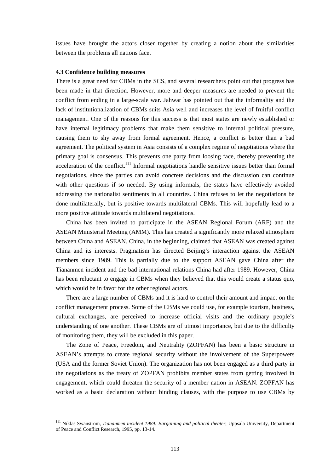issues have brought the actors closer together by creating a notion about the similarities between the problems all nations face.

#### **4.3 Confidence building measures**

 $\overline{a}$ 

There is a great need for CBMs in the SCS, and several researchers point out that progress has been made in that direction. However, more and deeper measures are needed to prevent the conflict from ending in a large-scale war. Jahwar has pointed out that the informality and the lack of institutionalization of CBMs suits Asia well and increases the level of fruitful conflict management. One of the reasons for this success is that most states are newly established or have internal legitimacy problems that make them sensitive to internal political pressure, causing them to shy away from formal agreement. Hence, a conflict is better than a bad agreement. The political system in Asia consists of a complex regime of negotiations where the primary goal is consensus. This prevents one party from loosing face, thereby preventing the acceleration of the conflict.<sup>111</sup> Informal negotiations handle sensitive issues better than formal negotiations, since the parties can avoid concrete decisions and the discussion can continue with other questions if so needed. By using informals, the states have effectively avoided addressing the nationalist sentiments in all countries. China refuses to let the negotiations be done multilaterally, but is positive towards multilateral CBMs. This will hopefully lead to a more positive attitude towards multilateral negotiations.

China has been invited to participate in the ASEAN Regional Forum (ARF) and the ASEAN Ministerial Meeting (AMM). This has created a significantly more relaxed atmosphere between China and ASEAN. China, in the beginning, claimed that ASEAN was created against China and its interests. Pragmatism has directed Beijing's interaction against the ASEAN members since 1989. This is partially due to the support ASEAN gave China after the Tiananmen incident and the bad international relations China had after 1989. However, China has been reluctant to engage in CBMs when they believed that this would create a status quo, which would be in favor for the other regional actors.

There are a large number of CBMs and it is hard to control their amount and impact on the conflict management process. Some of the CBMs we could use, for example tourism, business, cultural exchanges, are perceived to increase official visits and the ordinary people's understanding of one another. These CBMs are of utmost importance, but due to the difficulty of monitoring them, they will be excluded in this paper.

The Zone of Peace, Freedom, and Neutrality (ZOPFAN) has been a basic structure in ASEAN's attempts to create regional security without the involvement of the Superpowers (USA and the former Soviet Union). The organization has not been engaged as a third party in the negotiations as the treaty of ZOPFAN prohibits member states from getting involved in engagement, which could threaten the security of a member nation in ASEAN. ZOPFAN has worked as a basic declaration without binding clauses, with the purpose to use CBMs by

<sup>111</sup> Niklas Swanstrom, *Tiananmen incident 1989: Bargaining and political theater*, Uppsala University, Department of Peace and Conflict Research, 1995, pp. 13-14.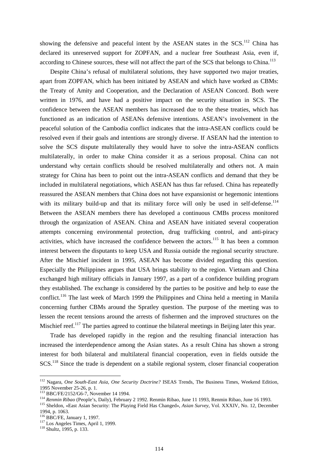showing the defensive and peaceful intent by the ASEAN states in the  $SCS$ <sup>112</sup> China has declared its unreserved support for ZOPFAN, and a nuclear free Southeast Asia, even if, according to Chinese sources, these will not affect the part of the SCS that belongs to China.<sup>113</sup>

Despite China's refusal of multilateral solutions, they have supported two major treaties, apart from ZOPFAN, which has been initiated by ASEAN and which have worked as CBMs: the Treaty of Amity and Cooperation, and the Declaration of ASEAN Concord. Both were written in 1976, and have had a positive impact on the security situation in SCS. The confidence between the ASEAN members has increased due to the these treaties, which has functioned as an indication of ASEANs defensive intentions. ASEAN's involvement in the peaceful solution of the Cambodia conflict indicates that the intra-ASEAN conflicts could be resolved even if their goals and intentions are strongly diverse. If ASEAN had the intention to solve the SCS dispute multilaterally they would have to solve the intra-ASEAN conflicts multilaterally, in order to make China consider it as a serious proposal. China can not understand why certain conflicts should be resolved multilaterally and others not. A main strategy for China has been to point out the intra-ASEAN conflicts and demand that they be included in multilateral negotiations, which ASEAN has thus far refused. China has repeatedly reassured the ASEAN members that China does not have expansionist or hegemonic intentions with its military build-up and that its military force will only be used in self-defense.<sup>114</sup> Between the ASEAN members there has developed a continuous CMBs process monitored through the organization of ASEAN. China and ASEAN have initiated several cooperation attempts concerning environmental protection, drug trafficking control, and anti-piracy activities, which have increased the confidence between the actors.<sup>115</sup> It has been a common interest between the disputants to keep USA and Russia outside the regional security structure. After the Mischief incident in 1995, ASEAN has become divided regarding this question. Especially the Philippines argues that USA brings stability to the region. Vietnam and China exchanged high military officials in January 1997, as a part of a confidence building program they established. The exchange is considered by the parties to be positive and help to ease the conflict.<sup>116</sup> The last week of March 1999 the Philippines and China held a meeting in Manila concerning further CBMs around the Spratley question. The purpose of the meeting was to lessen the recent tensions around the arrests of fishermen and the improved structures on the Mischief reef.<sup>117</sup> The parties agreed to continue the bilateral meetings in Beijing later this year.

Trade has developed rapidly in the region and the resulting financial interaction has increased the interdependence among the Asian states. As a result China has shown a strong interest for both bilateral and multilateral financial cooperation, even in fields outside the SCS.<sup>118</sup> Since the trade is dependent on a stabile regional system, closer financial cooperation

<sup>112</sup> Nagara, *One South-East Asia, One Security Doctrine?* ISEAS Trends, The Business Times, Weekend Edition, 1995 November 25-26, p. 1.<br><sup>113</sup> BBC/FE/2152/G6-7, November 14 1994.

<sup>&</sup>lt;sup>114</sup> Renmin Ribao (People's, Daily), February 2 1992. Renmin Ribao, June 11 1993, Renmin Ribao, June 16 1993.<br><sup>115</sup> Sheldon, «East Asian Security: The Playing Field Has Changed», Asian Survey, Vol. XXXIV, No. 12, December 1994, p. 1063.<br><sup>116</sup> BBC/FE, January 1, 1997.

 $117$  Los Angeles Times, April 1, 1999.<br><sup>118</sup> Shultz, 1995, p. 133.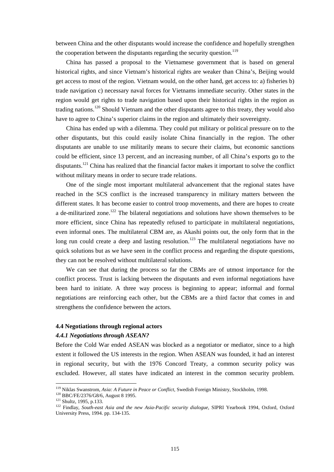between China and the other disputants would increase the confidence and hopefully strengthen the cooperation between the disputants regarding the security question.<sup>119</sup>

China has passed a proposal to the Vietnamese government that is based on general historical rights, and since Vietnam's historical rights are weaker than China's, Beijing would get access to most of the region. Vietnam would, on the other hand, get access to: a) fisheries b) trade navigation c) necessary naval forces for Vietnams immediate security. Other states in the region would get rights to trade navigation based upon their historical rights in the region as trading nations.120 Should Vietnam and the other disputants agree to this treaty, they would also have to agree to China's superior claims in the region and ultimately their sovereignty.

China has ended up with a dilemma. They could put military or political pressure on to the other disputants, but this could easily isolate China financially in the region. The other disputants are unable to use militarily means to secure their claims, but economic sanctions could be efficient, since 13 percent, and an increasing number, of all China's exports go to the disputants.<sup>121</sup> China has realized that the financial factor makes it important to solve the conflict without military means in order to secure trade relations.

One of the single most important multilateral advancement that the regional states have reached in the SCS conflict is the increased transparency in military matters between the different states. It has become easier to control troop movements, and there are hopes to create a de-militarized zone.<sup>122</sup> The bilateral negotiations and solutions have shown themselves to be more efficient, since China has repeatedly refused to participate in multilateral negotiations, even informal ones. The multilateral CBM are, as Akashi points out, the only form that in the long run could create a deep and lasting resolution.<sup>123</sup> The multilateral negotiations have no quick solutions but as we have seen in the conflict process and regarding the dispute questions, they can not be resolved without multilateral solutions.

We can see that during the process so far the CBMs are of utmost importance for the conflict process. Trust is lacking between the disputants and even informal negotiations have been hard to initiate. A three way process is beginning to appear; informal and formal negotiations are reinforcing each other, but the CBMs are a third factor that comes in and strengthens the confidence between the actors.

### **4.4 Negotiations through regional actors**

# *4.4.1 Negotiations through ASEAN?*

Before the Cold War ended ASEAN was blocked as a negotiator or mediator, since to a high extent it followed the US interests in the region. When ASEAN was founded, it had an interest in regional security, but with the 1976 Concord Treaty, a common security policy was excluded. However, all states have indicated an interest in the common security problem.

<sup>&</sup>lt;sup>119</sup> Niklas Swanstrom, Asia: A Future in Peace or Conflict, Swedish Foreign Ministry, Stockholm, 1998.<br><sup>120</sup> BBC/FE/2376/G8/6, August 8 1995.<br><sup>121</sup> Shultz, 1995, p.133.<br><sup>122</sup> Findlay, *South-east Asia and the new Asia-Pa* University Press, 1994. pp. 134-135.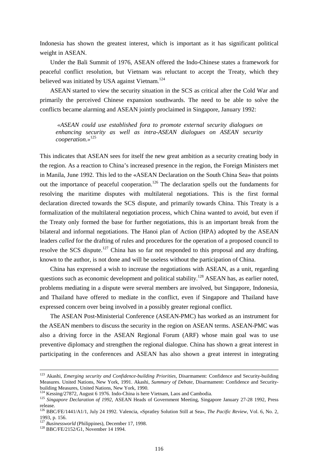Indonesia has shown the greatest interest, which is important as it has significant political weight in ASEAN.

Under the Bali Summit of 1976, ASEAN offered the Indo-Chinese states a framework for peaceful conflict resolution, but Vietnam was reluctant to accept the Treaty, which they believed was initiated by USA against Vietnam.<sup>124</sup>

ASEAN started to view the security situation in the SCS as critical after the Cold War and primarily the perceived Chinese expansion southwards. The need to be able to solve the conflicts became alarming and ASEAN jointly proclaimed in Singapore, January 1992:

 *«ASEAN could use established fora to promote external security dialogues on enhancing security as well as intra-ASEAN dialogues on ASEAN security cooperation.»*<sup>125</sup>

This indicates that ASEAN sees for itself the new great ambition as a security creating body in the region. As a reaction to China's increased presence in the region, the Foreign Ministers met in Manila, June 1992. This led to the «ASEAN Declaration on the South China Sea» that points out the importance of peaceful cooperation.<sup>126</sup> The declaration spells out the fundaments for resolving the maritime disputes with multilateral negotiations. This is the first formal declaration directed towards the SCS dispute, and primarily towards China. This Treaty is a formalization of the multilateral negotiation process, which China wanted to avoid, but even if the Treaty only formed the base for further negotiations, this is an important break from the bilateral and informal negotiations. The Hanoi plan of Action (HPA) adopted by the ASEAN leaders *called* for the drafting of rules and procedures for the operation of a proposed council to resolve the SCS dispute.<sup>127</sup> China has so far not responded to this proposal and any drafting, known to the author, is not done and will be useless without the participation of China.

China has expressed a wish to increase the negotiations with ASEAN, as a unit, regarding questions such as economic development and political stability.<sup>128</sup> ASEAN has, as earlier noted, problems mediating in a dispute were several members are involved, but Singapore, Indonesia, and Thailand have offered to mediate in the conflict, even if Singapore and Thailand have expressed concern over being involved in a possibly greater regional conflict.

The ASEAN Post-Ministerial Conference (ASEAN-PMC) has worked as an instrument for the ASEAN members to discuss the security in the region on ASEAN terms. ASEAN-PMC was also a driving force in the ASEAN Regional Forum (ARF) whose main goal was to use preventive diplomacy and strengthen the regional dialogue. China has shown a great interest in participating in the conferences and ASEAN has also shown a great interest in integrating

 <sup>123</sup> Akashi, *Emerging security and Confidence-building Priorities*, Disarmament: Confidence and Security-building Measures. United Nations, New York, 1991. Akashi, *Summary of Debate*, Disarmament: Confidence and Securitybuilding Measures, United Nations, New York, 1990.<br><sup>124</sup> Kessing/27872, August 6 1976. Indo-China is here Vietnam, Laos and Cambodia.

<sup>&</sup>lt;sup>125</sup> Singapore Declaration of 1992, ASEAN Heads of Government Meeting, Singapore January 27-28 1992, Press release.

<sup>126</sup> BBC/FE/1441/A1/1, July 24 1992. Valencia, «Spratley Solution Still at Sea», *The Pacific Review*, Vol. 6, No. 2, 1993, p. 156.

<sup>&</sup>lt;sup>127</sup> Businessworld (Philippines), December 17, 1998.<br><sup>128</sup> BBC/FE/2152/G1, November 14 1994.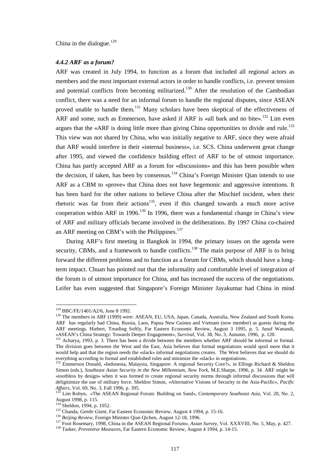China in the dialogue. $129$ 

# *4.4.2 ARF as a forum?*

ARF was created in July 1994, to function as a forum that included all regional actors as members and the most important external actors in order to handle conflicts, i.e. prevent tension and potential conflicts from becoming militarized.<sup>130</sup> After the resolution of the Cambodian conflict, there was a need for an informal forum to handle the regional disputes, since ASEAN proved unable to handle them.<sup>131</sup> Many scholars have been skeptical of the effectiveness of ARF and some, such as Emmerson, have asked if ARF is «all bark and no bite».<sup>132</sup> Lim even argues that the «ARF is doing little more than giving China opportunities to divide and rule.<sup>133</sup> This view was not shared by China, who was initially negative to ARF, since they were afraid that ARF would interfere in their «internal business», i.e. SCS. China underwent great change after 1995, and viewed the confidence building effect of ARF to be of utmost importance. China has partly accepted ARF as a forum for «discussions» and this has been possible when the decision, if taken, has been by consensus.<sup>134</sup> China's Foreign Minister Qian intends to use ARF as a CBM to «prove» that China does not have hegemonic and aggressive intentions. It has been hard for the other nations to believe China after the Mischief incident, when their rhetoric was far from their actions<sup>135</sup>, even if this changed towards a much more active cooperation within ARF in 1996.<sup>136</sup> In 1996, there was a fundamental change in China's view of ARF and military officials became involved in the deliberations. By 1997 China co-chaired an ARF meeting on CBM's with the Philippines. $137$ 

During ARF's first meeting in Bangkok in 1994, the primary issues on the agenda were security, CBMs, and a framework to handle conflicts.<sup>138</sup> The main purpose of ARF is to bring forward the different problems and to function as a forum for CBMs, which should have a longterm impact. Chuan has pointed out that the informality and comfortable level of integration of the forum is of utmost importance for China, and has increased the success of the negotiations. Leifer has even suggested that Singapore's Foreign Minister Jayakumar had China in mind

<sup>&</sup>lt;sup>129</sup> BBC/FE/1401/A2/6, June 8 1992.

<sup>&</sup>lt;sup>130</sup> The members in ARF (1999) were: ASEAN, EU, USA, Japan, Canada, Australia, New Zealand and South Korea. ARF has regularly had China, Russia, Laos, Papua New Guinea and Vietnam (now member) as guests during the ARF meetings. Hiebert, Treading Softly, Far Eastern Economic Review, August 3 1995, p. 5. Jusuf Wanandi, «ASEAN's China Strategy: Towards Deeper Engagement», *Survival*, Vol. 38, No. 3, Autumn, 1996, p. 120. <sup>131</sup> Acharya, 1993, p. 3. There has been a divide between the members whether ARF should be informal or formal.

The division goes between the West and the East, Asia believes that formal negotiations would spoil more that it would help and that the region needs the «slack» informal negotiations creates. The West believes that we should do everything according to formal and established rules and minimize the «slack» in negotiations.

<sup>&</sup>lt;sup>132</sup> Emmerson Donald, «Indonesia, Malaysia, Singapore: A regional Security Core?», in Ellings Richard & Sheldon Simon (eds.), *Southeast Asian Security in the New Millennium, New York*, M.E.Sharpe, 1996, p. 34. ARF might be «toothless by design» when it was formed to create regional security norms through informal discussions that will deligitimize the use of military force. Sheldon Simon, «Alternative Visions of Security in the Asia-Pacific», *Pacific Affairs*, Vol. 69, No. 3, Fall 1996, p. 395.<br><sup>133</sup> Lim Robyn, «The ASEAN Regional Forum: Building on Sand», *Contemporary Southeast Asia*, Vol. 20, No. 2,

August 1998, p. 115.<br><sup>134</sup> Sheldon, 1994, p. 1052.

<sup>&</sup>lt;sup>135</sup> Chanda, *Gentle Giant*, Far Eastern Economic Review, August 4 1994, p. 15-16.<br><sup>136</sup> Beijing Review, Foreign Minister Qian Qichen, August 12-18, 1996.<br><sup>137</sup> Foot Rosemary, 1998, China in the ASEAN Regional Forum», *A*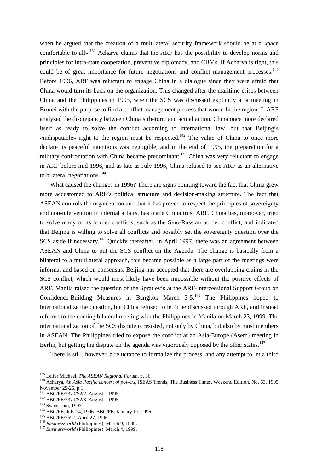when he argued that the creation of a multilateral security framework should be at a «pace comfortable to all».<sup>139</sup> Acharya claims that the ARF has the possibility to develop norms and principles for intra-state cooperation, preventive diplomacy, and CBMs. If Acharya is right, this could be of great importance for future negotiations and conflict management processes.<sup>140</sup> Before 1996, ARF was reluctant to engage China in a dialogue since they were afraid that China would turn its back on the organization. This changed after the maritime crises between China and the Philippines in 1995, when the SCS was discussed explicitly at a meeting in Brunei with the purpose to find a conflict management process that would fit the region.<sup>141</sup> ARF analyzed the discrepancy between China's rhetoric and actual action. China once more declared itself as ready to solve the conflict according to international law, but that Beijing's «indisputable» right to the region must be respected.<sup>142</sup> The value of China to once more declare its peaceful intentions was negligible, and in the end of 1995, the preparation for a military confrontation with China became predominant.<sup>143</sup> China was very reluctant to engage in ARF before mid-1996, and as late as July 1996, China refused to see ARF as an alternative to bilateral negotiations.<sup>144</sup>

What caused the changes in 1996? There are signs pointing toward the fact that China grew more accustomed to ARF's political structure and decision-making structure. The fact that ASEAN controls the organization and that it has proved to respect the principles of sovereignty and non-intervention in internal affairs, has made China trust ARF. China has, moreover, tried to solve many of its border conflicts, such as the Sino-Russian border conflict, and indicated that Beijing is willing to solve all conflicts and possibly set the sovereignty question over the SCS aside if necessary.<sup>145</sup> Quickly thereafter, in April 1997, there was an agreement between ASEAN and China to put the SCS conflict on the Agenda. The change is basically from a bilateral to a multilateral approach, this became possible as a large part of the meetings were informal and based on consensus. Beijing has accepted that there are overlapping claims in the SCS conflict, which would most likely have been impossible without the positive effects of ARF. Manila raised the question of the Spratley's at the ARF-Intercessional Support Group on Confidence-Building Measures in Bangkok March  $3-5$ ,  $146$  The Philippines hoped to internationalize the question, but China refused to let it be discussed through ARF, and instead referred to the coming bilateral meeting with the Philippines in Manila on March 23, 1999. The internationalization of the SCS dispute is resisted, not only by China, but also by most members in ASEAN. The Philippines tried to expose the conflict at an Asia-Europe (Asem) meeting in Berlin, but getting the dispute on the agenda was vigorously opposed by the other states.<sup>147</sup>

There is still, however, a reluctance to formalize the process, and any attempt to let a third

<sup>&</sup>lt;sup>139</sup> Leifer Michael, The ASEAN Regional Forum, p. 36.

<sup>&</sup>lt;sup>140</sup> Acharya, *An Asia Pacific concert of powers*, ISEAS Trends, The Business Times, Weekend Edition, No. 63, 1995 November 25-26, p.1.<br><sup>141</sup> BBC/FE/2370/S2/2, August 1 1995.

<sup>&</sup>lt;sup>142</sup> BBC/FE/2370/S2/3, August 1 1995.<br>
<sup>143</sup> Swanstrom, 1997.<br>
<sup>143</sup> BBC/FE, July 24, 1996. BBC/FE, January 17, 1996.<br>
<sup>145</sup> BBC/FE/2597, April 27, 1996.<br>
<sup>146</sup> Businessworld (Philippines), March 9, 1999.<br>
<sup>147</sup> Business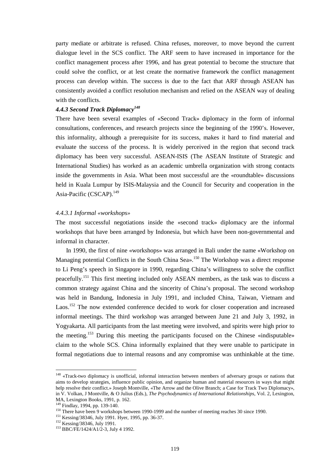party mediate or arbitrate is refused. China refuses, moreover, to move beyond the current dialogue level in the SCS conflict. The ARF seem to have increased in importance for the conflict management process after 1996, and has great potential to become the structure that could solve the conflict, or at lest create the normative framework the conflict management process can develop within. The success is due to the fact that ARF through ASEAN has consistently avoided a conflict resolution mechanism and relied on the ASEAN way of dealing with the conflicts.

# *4.4.3 Second Track Diplomacy<sup>148</sup>*

There have been several examples of «Second Track» diplomacy in the form of informal consultations, conferences, and research projects since the beginning of the 1990's. However, this informality, although a prerequisite for its success, makes it hard to find material and evaluate the success of the process. It is widely perceived in the region that second track diplomacy has been very successful. ASEAN-ISIS (The ASEAN Institute of Strategic and International Studies) has worked as an academic umbrella organization with strong contacts inside the governments in Asia. What been most successful are the «roundtable» discussions held in Kuala Lumpur by ISIS-Malaysia and the Council for Security and cooperation in the Asia-Pacific (CSCAP).<sup>149</sup>

## *4.4.3.1 Informal «workshops»*

The most successful negotiations inside the «second track» diplomacy are the informal workshops that have been arranged by Indonesia, but which have been non-governmental and informal in character.

In 1990, the first of nine «workshops» was arranged in Bali under the name «Workshop on Managing potential Conflicts in the South China Sea».<sup>150</sup> The Workshop was a direct response to Li Peng's speech in Singapore in 1990, regarding China's willingness to solve the conflict peacefully.151 This first meeting included only ASEAN members, as the task was to discuss a common strategy against China and the sincerity of China's proposal. The second workshop was held in Bandung, Indonesia in July 1991, and included China, Taiwan, Vietnam and Laos.<sup>152</sup> The now extended conference decided to work for closer cooperation and increased informal meetings. The third workshop was arranged between June 21 and July 3, 1992, in Yogyakarta. All participants from the last meeting were involved, and spirits were high prior to the meeting.153 During this meeting the participants focused on the Chinese «indisputable» claim to the whole SCS. China informally explained that they were unable to participate in formal negotiations due to internal reasons and any compromise was unthinkable at the time.

<sup>&</sup>lt;sup>148</sup> «Track-two diplomacy is unofficial, informal interaction between members of adversary groups or nations that aims to develop strategies, influence public opinion, and organize human and material resources in ways that might help resolve their conflict.» Joseph Montville, «The Arrow and the Olive Branch; a Case for Track Two Diplomacy», in V. Volkan, J Montville, & O Julius (Eds.), *The Psychodynamics of International Relationships*, Vol. 2, Lexington,

MA, Lexington Books, 1991, p. 162.<br><sup>149</sup> Findlay, 1994, pp. 139-140.

<sup>&</sup>lt;sup>150</sup> There have been 9 workshops between 1990-1999 and the number of meeting reaches 30 since 1990.<br><sup>151</sup> Kessing/38346, July 1991. Hyer, 1995, pp. 36-37.<br><sup>152</sup> Kessing/38346, July 1991.<br><sup>152</sup> Kessing/38346, July 1991.<br><sup></sup>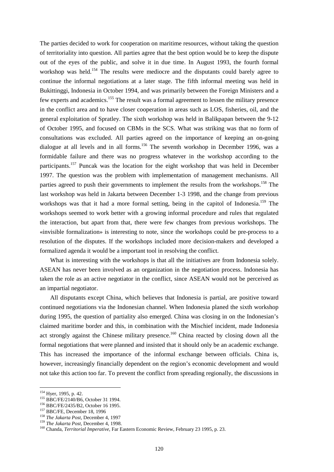The parties decided to work for cooperation on maritime resources, without taking the question of territoriality into question. All parties agree that the best option would be to keep the dispute out of the eyes of the public, and solve it in due time. In August 1993, the fourth formal workshop was held.<sup>154</sup> The results were mediocre and the disputants could barely agree to continue the informal negotiations at a later stage. The fifth informal meeting was held in Bukittinggi, Indonesia in October 1994, and was primarily between the Foreign Ministers and a few experts and academics.<sup>155</sup> The result was a formal agreement to lessen the military presence in the conflict area and to have closer cooperation in areas such as LOS, fisheries, oil, and the general exploitation of Spratley. The sixth workshop was held in Balikpapan between the 9-12 of October 1995, and focused on CBMs in the SCS. What was striking was that no form of consultations was excluded. All parties agreed on the importance of keeping an on-going dialogue at all levels and in all forms.<sup>156</sup> The seventh workshop in December 1996, was a formidable failure and there was no progress whatever in the workshop according to the participants.<sup>157</sup> Puncak was the location for the eight workshop that was held in December 1997. The question was the problem with implementation of management mechanisms. All parties agreed to push their governments to implement the results from the workshops.<sup>158</sup> The last workshop was held in Jakarta between December 1-3 1998, and the change from previous workshops was that it had a more formal setting, being in the capitol of Indonesia.<sup>159</sup> The workshops seemed to work better with a growing informal procedure and rules that regulated the interaction, but apart from that, there were few changes from previous workshops. The «invisible formalization» is interesting to note, since the workshops could be pre-process to a resolution of the disputes. If the workshops included more decision-makers and developed a formalized agenda it would be a important tool in resolving the conflict.

What is interesting with the workshops is that all the initiatives are from Indonesia solely. ASEAN has never been involved as an organization in the negotiation process. Indonesia has taken the role as an active negotiator in the conflict, since ASEAN would not be perceived as an impartial negotiator.

All disputants except China, which believes that Indonesia is partial, are positive toward continued negotiations via the Indonesian channel. When Indonesia planed the sixth workshop during 1995, the question of partiality also emerged. China was closing in on the Indonesian's claimed maritime border and this, in combination with the Mischief incident, made Indonesia act strongly against the Chinese military presence.<sup>160</sup> China reacted by closing down all the formal negotiations that were planned and insisted that it should only be an academic exchange. This has increased the importance of the informal exchange between officials. China is, however, increasingly financially dependent on the region's economic development and would not take this action too far. To prevent the conflict from spreading regionally, the discussions in

<sup>&</sup>lt;sup>154</sup> Hyer, 1995, p. 42.<br>
<sup>155</sup> BBC/FE/2140/B6, October 31 1994.<br>
<sup>156</sup> BBC/FE/2435/B2, October 16 1995.<br>
<sup>157</sup> BBC/FE, December 18, 1996<br>
<sup>158</sup> The Jakarta Post, December 4, 1997<br>
<sup>159</sup> The Jakarta Post, December 4, 1998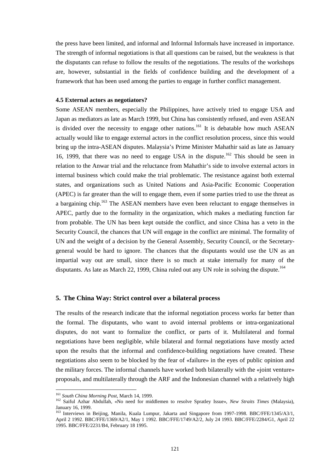the press have been limited, and informal and Informal Informals have increased in importance. The strength of informal negotiations is that all questions can be raised, but the weakness is that the disputants can refuse to follow the results of the negotiations. The results of the workshops are, however, substantial in the fields of confidence building and the development of a framework that has been used among the parties to engage in further conflict management.

#### **4.5 External actors as negotiators?**

Some ASEAN members, especially the Philippines, have actively tried to engage USA and Japan as mediators as late as March 1999, but China has consistently refused, and even ASEAN is divided over the necessity to engage other nations.<sup>161</sup> It is debatable how much ASEAN actually would like to engage external actors in the conflict resolution process, since this would bring up the intra-ASEAN disputes. Malaysia's Prime Minister Mahathir said as late as January 16, 1999, that there was no need to engage USA in the dispute.<sup>162</sup> This should be seen in relation to the Anwar trial and the reluctance from Mahathir's side to involve external actors in internal business which could make the trial problematic. The resistance against both external states, and organizations such as United Nations and Asia-Pacific Economic Cooperation (APEC) is far greater than the will to engage them, even if some parties tried to use the threat as a bargaining chip.<sup>163</sup> The ASEAN members have even been reluctant to engage themselves in APEC, partly due to the formality in the organization, which makes a mediating function far from probable. The UN has been kept outside the conflict, and since China has a veto in the Security Council, the chances that UN will engage in the conflict are minimal. The formality of UN and the weight of a decision by the General Assembly, Security Council, or the Secretarygeneral would be hard to ignore. The chances that the disputants would use the UN as an impartial way out are small, since there is so much at stake internally for many of the disputants. As late as March 22, 1999, China ruled out any UN role in solving the dispute.<sup>164</sup>

# **5. The China Way: Strict control over a bilateral process**

The results of the research indicate that the informal negotiation process works far better than the formal. The disputants, who want to avoid internal problems or intra-organizational disputes, do not want to formalize the conflict, or parts of it. Multilateral and formal negotiations have been negligible, while bilateral and formal negotiations have mostly acted upon the results that the informal and confidence-building negotiations have created. These negotiations also seem to be blocked by the fear of «failure» in the eyes of public opinion and the military forces. The informal channels have worked both bilaterally with the «joint venture» proposals, and multilaterally through the ARF and the Indonesian channel with a relatively high

<sup>&</sup>lt;sup>161</sup> South China Morning Post, March 14, 1999.

<sup>162</sup> Saiful Azhar Abdullah, «No need for middlemen to resolve Spratley Issue», *New Straits Times* (Malaysia), January 16, 1999.

<sup>&</sup>lt;sup>163</sup> Interviews in Beijing, Manila, Kuala Lumpur, Jakarta and Singapore from 1997-1998. BBC/FFE/1345/A3/1, April 2 1992. BBC/FFE/1369/A2/1, May 1 1992. BBC/FFE/1749/A2/2, July 24 1993. BBC/FFE/2284/G1, April 22 1995. BBC/FFE/2231/B4, February 18 1995.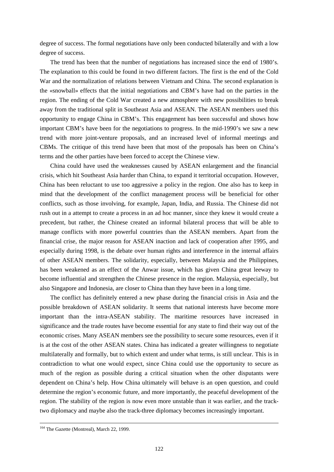degree of success. The formal negotiations have only been conducted bilaterally and with a low degree of success.

The trend has been that the number of negotiations has increased since the end of 1980's. The explanation to this could be found in two different factors. The first is the end of the Cold War and the normalization of relations between Vietnam and China. The second explanation is the «snowball» effects that the initial negotiations and CBM's have had on the parties in the region. The ending of the Cold War created a new atmosphere with new possibilities to break away from the traditional split in Southeast Asia and ASEAN. The ASEAN members used this opportunity to engage China in CBM's. This engagement has been successful and shows how important CBM's have been for the negotiations to progress. In the mid-1990's we saw a new trend with more joint-venture proposals, and an increased level of informal meetings and CBMs. The critique of this trend have been that most of the proposals has been on China's terms and the other parties have been forced to accept the Chinese view.

China could have used the weaknesses caused by ASEAN enlargement and the financial crisis, which hit Southeast Asia harder than China, to expand it territorial occupation. However, China has been reluctant to use too aggressive a policy in the region. One also has to keep in mind that the development of the conflict management process will be beneficial for other conflicts, such as those involving, for example, Japan, India, and Russia. The Chinese did not rush out in a attempt to create a process in an ad hoc manner, since they knew it would create a precedent, but rather, the Chinese created an informal bilateral process that will be able to manage conflicts with more powerful countries than the ASEAN members. Apart from the financial crise, the major reason for ASEAN inaction and lack of cooperation after 1995, and especially during 1998, is the debate over human rights and interference in the internal affairs of other ASEAN members. The solidarity, especially, between Malaysia and the Philippines, has been weakened as an effect of the Anwar issue, which has given China great leeway to become influential and strengthen the Chinese presence in the region. Malaysia, especially, but also Singapore and Indonesia, are closer to China than they have been in a long time.

The conflict has definitely entered a new phase during the financial crisis in Asia and the possible breakdown of ASEAN solidarity. It seems that national interests have become more important than the intra-ASEAN stability. The maritime resources have increased in significance and the trade routes have become essential for any state to find their way out of the economic crises. Many ASEAN members see the possibility to secure some resources, even if it is at the cost of the other ASEAN states. China has indicated a greater willingness to negotiate multilaterally and formally, but to which extent and under what terms, is still unclear. This is in contradiction to what one would expect, since China could use the opportunity to secure as much of the region as possible during a critical situation when the other disputants were dependent on China's help. How China ultimately will behave is an open question, and could determine the region's economic future, and more importantly, the peaceful development of the region. The stability of the region is now even more unstable than it was earlier, and the tracktwo diplomacy and maybe also the track-three diplomacy becomes increasingly important.

<sup>&</sup>lt;sup>164</sup> The Gazette (Montreal), March 22, 1999.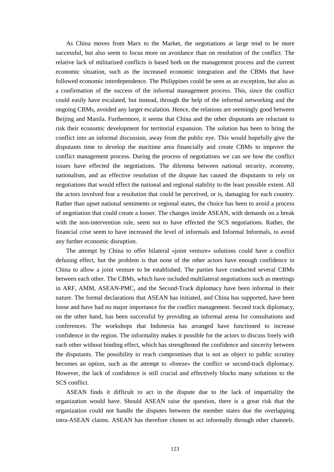As China moves from Marx to the Market, the negotiations at large tend to be more successful, but also seem to focus more on avoidance than on resolution of the conflict. The relative lack of militarized conflicts is based both on the management process and the current economic situation, such as the increased economic integration and the CBMs that have followed economic interdependence. The Philippines could be seen as an exception, but also as a confirmation of the success of the informal management process. This, since the conflict could easily have escalated, but instead, through the help of the informal networking and the ongoing CBMs, avoided any larger escalation. Hence, the relations are seemingly good between Beijing and Manila. Furthermore, it seems that China and the other disputants are reluctant to risk their economic development for territorial expansion. The solution has been to bring the conflict into an informal discussion, away from the public eye. This would hopefully give the disputants time to develop the maritime area financially and create CBMs to improve the conflict management process. During the process of negotiations we can see how the conflict issues have effected the negotiations. The dilemma between national security, economy, nationalism, and an effective resolution of the dispute has caused the disputants to rely on negotiations that would effect the national and regional stability to the least possible extent. All the actors involved fear a resolution that could be perceived, or is, damaging for each country. Rather than upset national sentiments or regional states, the choice has been to avoid a process of negotiation that could create a looser. The changes inside ASEAN, with demands on a break with the non-intervention rule, seem not to have effected the SCS negotiations. Rather, the financial crise seem to have increased the level of informals and Informal Informals, to avoid any further economic disruption.

The attempt by China to offer bilateral «joint venture» solutions could have a conflict defusing effect, but the problem is that none of the other actors have enough confidence in China to allow a joint venture to be established. The parties have conducted several CBMs between each other. The CBMs, which have included multilateral negotiations such as meetings in ARF, AMM, ASEAN-PMC, and the Second-Track diplomacy have been informal in their nature. The formal declarations that ASEAN has initiated, and China has supported, have been loose and have had no major importance for the conflict management. Second track diplomacy, on the other hand, has been successful by providing an informal arena for consultations and conferences. The workshops that Indonesia has arranged have functioned to increase confidence in the region. The informality makes it possible for the actors to discuss freely with each other without binding effect, which has strengthened the confidence and sincerity between the disputants. The possibility to reach compromises that is not an object to public scrutiny becomes an option, such as the attempt to «freeze» the conflict or second-track diplomacy. However, the lack of confidence is still crucial and effectively blocks many solutions to the SCS conflict.

ASEAN finds it difficult to act in the dispute due to the lack of impartiality the organization would have. Should ASEAN raise the question, there is a great risk that the organization could not handle the disputes between the member states due the overlapping intra-ASEAN claims. ASEAN has therefore chosen to act informally through other channels.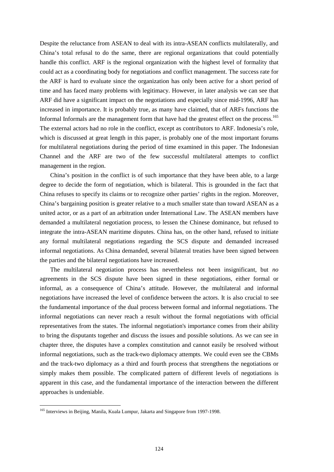Despite the reluctance from ASEAN to deal with its intra-ASEAN conflicts multilaterally, and China's total refusal to do the same, there are regional organizations that could potentially handle this conflict. ARF is the regional organization with the highest level of formality that could act as a coordinating body for negotiations and conflict management. The success rate for the ARF is hard to evaluate since the organization has only been active for a short period of time and has faced many problems with legitimacy. However, in later analysis we can see that ARF did have a significant impact on the negotiations and especially since mid-1996, ARF has increased in importance. It is probably true, as many have claimed, that of ARFs functions the Informal Informals are the management form that have had the greatest effect on the process.<sup>165</sup> The external actors had no role in the conflict, except as contributors to ARF. Indonesia's role, which is discussed at great length in this paper, is probably one of the most important forums for multilateral negotiations during the period of time examined in this paper. The Indonesian Channel and the ARF are two of the few successful multilateral attempts to conflict management in the region.

China's position in the conflict is of such importance that they have been able, to a large degree to decide the form of negotiation, which is bilateral. This is grounded in the fact that China refuses to specify its claims or to recognize other parties' rights in the region. Moreover, China's bargaining position is greater relative to a much smaller state than toward ASEAN as a united actor, or as a part of an arbitration under International Law. The ASEAN members have demanded a multilateral negotiation process, to lessen the Chinese dominance, but refused to integrate the intra-ASEAN maritime disputes. China has, on the other hand, refused to initiate any formal multilateral negotiations regarding the SCS dispute and demanded increased informal negotiations. As China demanded, several bilateral treaties have been signed between the parties and the bilateral negotiations have increased.

The multilateral negotiation process has nevertheless not been insignificant, but *no* agreements in the SCS dispute have been signed in these negotiations, either formal or informal, as a consequence of China's attitude. However, the multilateral and informal negotiations have increased the level of confidence between the actors. It is also crucial to see the fundamental importance of the dual process between formal and informal negotiations. The informal negotiations can never reach a result without the formal negotiations with official representatives from the states. The informal negotiation's importance comes from their ability to bring the disputants together and discuss the issues and possible solutions. As we can see in chapter three, the disputes have a complex constitution and cannot easily be resolved without informal negotiations, such as the track-two diplomacy attempts. We could even see the CBMs and the track-two diplomacy as a third and fourth process that strengthens the negotiations or simply makes them possible. The complicated pattern of different levels of negotiations is apparent in this case, and the fundamental importance of the interaction between the different approaches is undeniable.

<sup>&</sup>lt;sup>165</sup> Interviews in Beijing, Manila, Kuala Lumpur, Jakarta and Singapore from 1997-1998.